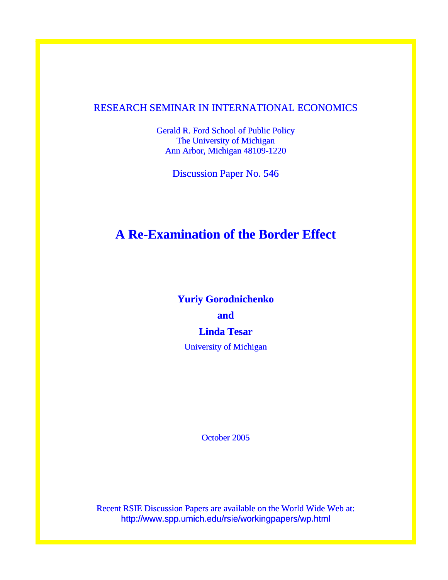# RESEARCH SEMINAR IN INTERNATIONAL ECONOMICS

Gerald R. Ford School of Public Policy The University of Michigan Ann Arbor, Michigan 48109-1220

Discussion Paper No. 546

# **A Re-Examination of the Border Effect**

**Yuriy Gorodnichenko and Linda Tesar**  University of Michigan

October 2005

Recent RSIE Discussion Papers are available on the World Wide Web at: http://www.spp.umich.edu/rsie/workingpapers/wp.html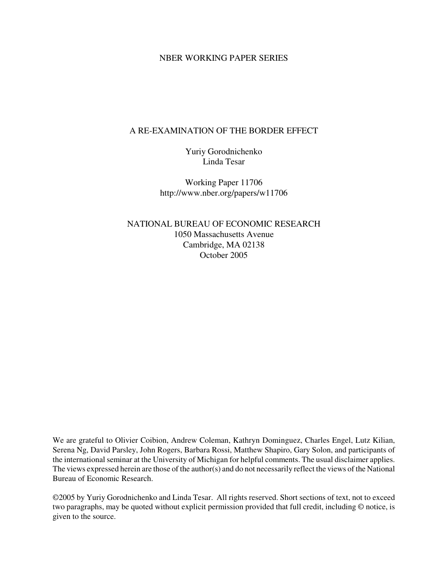#### NBER WORKING PAPER SERIES

#### A RE-EXAMINATION OF THE BORDER EFFECT

Yuriy Gorodnichenko Linda Tesar

Working Paper 11706 http://www.nber.org/papers/w11706

NATIONAL BUREAU OF ECONOMIC RESEARCH 1050 Massachusetts Avenue Cambridge, MA 02138 October 2005

We are grateful to Olivier Coibion, Andrew Coleman, Kathryn Dominguez, Charles Engel, Lutz Kilian, Serena Ng, David Parsley, John Rogers, Barbara Rossi, Matthew Shapiro, Gary Solon, and participants of the international seminar at the University of Michigan for helpful comments. The usual disclaimer applies. The views expressed herein are those of the author(s) and do not necessarily reflect the views of the National Bureau of Economic Research.

©2005 by Yuriy Gorodnichenko and Linda Tesar. All rights reserved. Short sections of text, not to exceed two paragraphs, may be quoted without explicit permission provided that full credit, including © notice, is given to the source.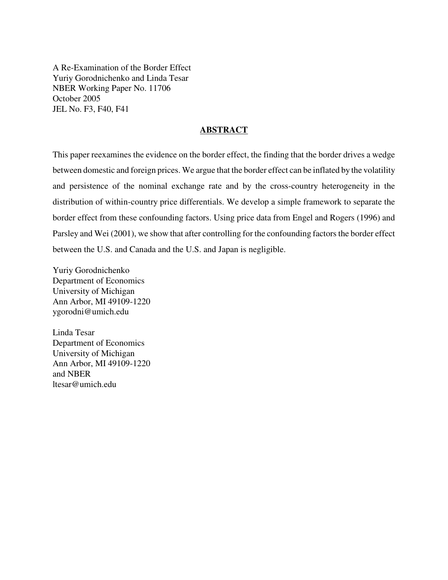A Re-Examination of the Border Effect Yuriy Gorodnichenko and Linda Tesar NBER Working Paper No. 11706 October 2005 JEL No. F3, F40, F41

#### **ABSTRACT**

This paper reexamines the evidence on the border effect, the finding that the border drives a wedge between domestic and foreign prices. We argue that the border effect can be inflated by the volatility and persistence of the nominal exchange rate and by the cross-country heterogeneity in the distribution of within-country price differentials. We develop a simple framework to separate the border effect from these confounding factors. Using price data from Engel and Rogers (1996) and Parsley and Wei (2001), we show that after controlling for the confounding factors the border effect between the U.S. and Canada and the U.S. and Japan is negligible.

Yuriy Gorodnichenko Department of Economics University of Michigan Ann Arbor, MI 49109-1220 ygorodni@umich.edu

Linda Tesar Department of Economics University of Michigan Ann Arbor, MI 49109-1220 and NBER ltesar@umich.edu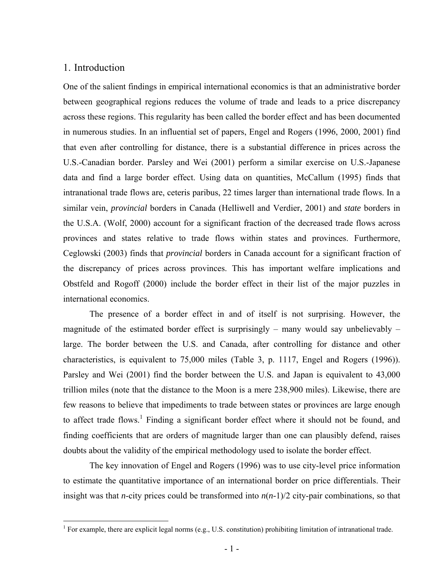#### 1. Introduction

One of the salient findings in empirical international economics is that an administrative border between geographical regions reduces the volume of trade and leads to a price discrepancy across these regions. This regularity has been called the border effect and has been documented in numerous studies. In an influential set of papers, Engel and Rogers (1996, 2000, 2001) find that even after controlling for distance, there is a substantial difference in prices across the U.S.-Canadian border. Parsley and Wei (2001) perform a similar exercise on U.S.-Japanese data and find a large border effect. Using data on quantities, McCallum (1995) finds that intranational trade flows are, ceteris paribus, 22 times larger than international trade flows. In a similar vein, *provincial* borders in Canada (Helliwell and Verdier, 2001) and *state* borders in the U.S.A. (Wolf, 2000) account for a significant fraction of the decreased trade flows across provinces and states relative to trade flows within states and provinces. Furthermore, Ceglowski (2003) finds that *provincial* borders in Canada account for a significant fraction of the discrepancy of prices across provinces. This has important welfare implications and Obstfeld and Rogoff (2000) include the border effect in their list of the major puzzles in international economics.

The presence of a border effect in and of itself is not surprising. However, the magnitude of the estimated border effect is surprisingly – many would say unbelievably – large. The border between the U.S. and Canada, after controlling for distance and other characteristics, is equivalent to 75,000 miles (Table 3, p. 1117, Engel and Rogers (1996)). Parsley and Wei (2001) find the border between the U.S. and Japan is equivalent to 43,000 trillion miles (note that the distance to the Moon is a mere 238,900 miles). Likewise, there are few reasons to believe that impediments to trade between states or provinces are large enough to affect trade flows.<sup>1</sup> Finding a significant border effect where it should not be found, and finding coefficients that are orders of magnitude larger than one can plausibly defend, raises doubts about the validity of the empirical methodology used to isolate the border effect.

The key innovation of Engel and Rogers (1996) was to use city-level price information to estimate the quantitative importance of an international border on price differentials. Their insight was that *n*-city prices could be transformed into *n*(*n-*1)/2 city-pair combinations, so that

<sup>&</sup>lt;sup>1</sup> For example, there are explicit legal norms (e.g., U.S. constitution) prohibiting limitation of intranational trade.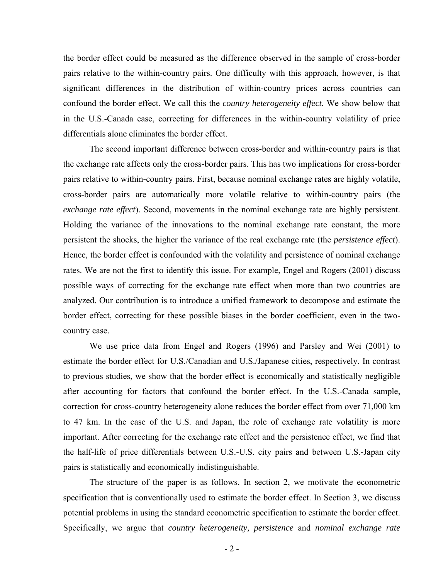the border effect could be measured as the difference observed in the sample of cross-border pairs relative to the within-country pairs. One difficulty with this approach, however, is that significant differences in the distribution of within-country prices across countries can confound the border effect. We call this the *country heterogeneity effect.* We show below that in the U.S.-Canada case, correcting for differences in the within-country volatility of price differentials alone eliminates the border effect.

The second important difference between cross-border and within-country pairs is that the exchange rate affects only the cross-border pairs. This has two implications for cross-border pairs relative to within-country pairs. First, because nominal exchange rates are highly volatile, cross-border pairs are automatically more volatile relative to within-country pairs (the *exchange rate effect*). Second, movements in the nominal exchange rate are highly persistent. Holding the variance of the innovations to the nominal exchange rate constant, the more persistent the shocks, the higher the variance of the real exchange rate (the *persistence effect*). Hence, the border effect is confounded with the volatility and persistence of nominal exchange rates. We are not the first to identify this issue. For example, Engel and Rogers (2001) discuss possible ways of correcting for the exchange rate effect when more than two countries are analyzed. Our contribution is to introduce a unified framework to decompose and estimate the border effect, correcting for these possible biases in the border coefficient, even in the twocountry case.

We use price data from Engel and Rogers (1996) and Parsley and Wei (2001) to estimate the border effect for U.S./Canadian and U.S./Japanese cities, respectively. In contrast to previous studies, we show that the border effect is economically and statistically negligible after accounting for factors that confound the border effect. In the U.S.-Canada sample, correction for cross-country heterogeneity alone reduces the border effect from over 71,000 km to 47 km. In the case of the U.S. and Japan, the role of exchange rate volatility is more important. After correcting for the exchange rate effect and the persistence effect, we find that the half-life of price differentials between U.S.-U.S. city pairs and between U.S.-Japan city pairs is statistically and economically indistinguishable.

The structure of the paper is as follows. In section 2, we motivate the econometric specification that is conventionally used to estimate the border effect. In Section 3, we discuss potential problems in using the standard econometric specification to estimate the border effect. Specifically, we argue that *country heterogeneity, persistence* and *nominal exchange rate*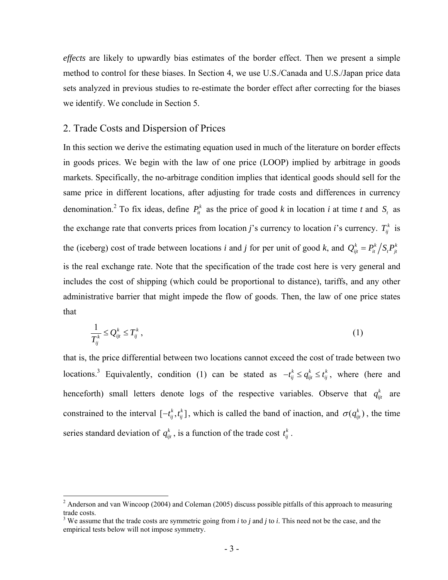*effects* are likely to upwardly bias estimates of the border effect. Then we present a simple method to control for these biases. In Section 4, we use U.S./Canada and U.S./Japan price data sets analyzed in previous studies to re-estimate the border effect after correcting for the biases we identify. We conclude in Section 5.

#### 2. Trade Costs and Dispersion of Prices

In this section we derive the estimating equation used in much of the literature on border effects in goods prices. We begin with the law of one price (LOOP) implied by arbitrage in goods markets. Specifically, the no-arbitrage condition implies that identical goods should sell for the same price in different locations, after adjusting for trade costs and differences in currency denomination.<sup>2</sup> To fix ideas, define  $P_{it}^{k}$  as the price of good *k* in location *i* at time *t* and  $S_{t}$  as the exchange rate that converts prices from location *j*'s currency to location *i*'s currency.  $T_{ii}^k$  is the (iceberg) cost of trade between locations *i* and *j* for per unit of good *k*, and  $Q_{ijt}^k = P_{it}^k / S_t P_{jt}^k$ is the real exchange rate. Note that the specification of the trade cost here is very general and includes the cost of shipping (which could be proportional to distance), tariffs, and any other administrative barrier that might impede the flow of goods. Then, the law of one price states that

$$
\frac{1}{T_{ij}^k} \le Q_{ijt}^k \le T_{ij}^k \tag{1}
$$

that is, the price differential between two locations cannot exceed the cost of trade between two locations.<sup>3</sup> Equivalently, condition (1) can be stated as  $-t_{ij}^k \leq q_{ij}^k \leq t_{ij}^k$ , where (here and henceforth) small letters denote logs of the respective variables. Observe that  $q_{ijt}^k$  are constrained to the interval  $[-t_{ij}^k, t_{ij}^k]$ , which is called the band of inaction, and  $\sigma(q_{ij}^k)$ , the time series standard deviation of  $q_{ijt}^k$ , is a function of the trade cost  $t_{ij}^k$ .

<sup>&</sup>lt;sup>2</sup> Anderson and van Wincoop (2004) and Coleman (2005) discuss possible pitfalls of this approach to measuring trade costs.

<sup>&</sup>lt;sup>3</sup> We assume that the trade costs are symmetric going from  $i$  to  $j$  and  $j$  to  $i$ . This need not be the case, and the empirical tests below will not impose symmetry.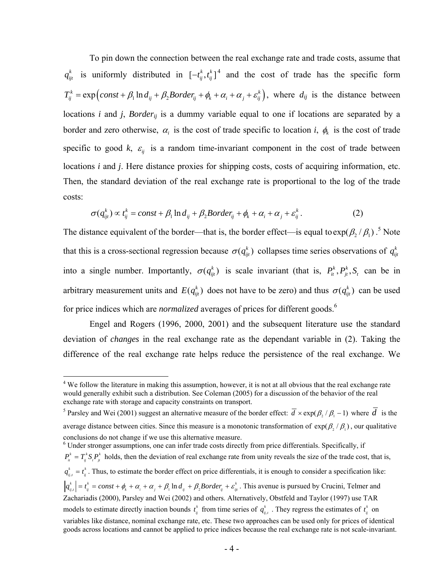To pin down the connection between the real exchange rate and trade costs, assume that  $q_{ijt}^k$  is uniformly distributed in  $[-t_{ij}^k, t_{ij}^k]^4$  and the cost of trade has the specific form  $T_{ij}^k = \exp\left(\text{const} + \beta_1 \ln d_{ij} + \beta_2 \text{Border}_{ij} + \phi_k + \alpha_i + \alpha_j + \varepsilon_{ij}^k\right)$ , where  $d_{ij}$  is the distance between locations *i* and *j*, *Border<sub>ij</sub>* is a dummy variable equal to one if locations are separated by a border and zero otherwise,  $\alpha_i$  is the cost of trade specific to location *i*,  $\phi_k$  is the cost of trade specific to good *k*,  $\varepsilon_{ij}$  is a random time-invariant component in the cost of trade between locations *i* and *j*. Here distance proxies for shipping costs, costs of acquiring information, etc. Then, the standard deviation of the real exchange rate is proportional to the log of the trade costs:

$$
\sigma(q_{ij}^k) \propto t_{ij}^k = const + \beta_1 \ln d_{ij} + \beta_2 Border_{ij} + \phi_k + \alpha_i + \alpha_j + \varepsilon_{ij}^k.
$$
 (2)

The distance equivalent of the border—that is, the border effect—is equal to  $\exp(\beta_2 / \beta_1)$ .<sup>5</sup> Note that this is a cross-sectional regression because  $\sigma(q_{ijt}^k)$  collapses time series observations of  $q_{ijt}^k$ into a single number. Importantly,  $\sigma(q_{ij}^k)$  is scale invariant (that is,  $P_{it}^k, P_{jt}^k, S_t$  can be in arbitrary measurement units and  $E(q_{ijt}^k)$  does not have to be zero) and thus  $\sigma(q_{ijt}^k)$  can be used for price indices which are *normalized* averages of prices for different goods.<sup>6</sup>

Engel and Rogers (1996, 2000, 2001) and the subsequent literature use the standard deviation of *changes* in the real exchange rate as the dependant variable in (2). Taking the difference of the real exchange rate helps reduce the persistence of the real exchange. We

 $\overline{a}$ 

<sup>5</sup> Parsley and Wei (2001) suggest an alternative measure of the border effect:  $\overline{d} \times \exp(\beta_2/\beta_1 - 1)$  where  $d$  is the average distance between cities. Since this measure is a monotonic transformation of  $exp(\beta \ / \ \beta)$ , our qualitative conclusions do not change if we use this alternative measure.

<sup>&</sup>lt;sup>4</sup> We follow the literature in making this assumption, however, it is not at all obvious that the real exchange rate would generally exhibit such a distribution. See Coleman (2005) for a discussion of the behavior of the real exchange rate with storage and capacity constraints on transport.

<sup>&</sup>lt;sup>6</sup> Under stronger assumptions, one can infer trade costs directly from price differentials. Specifically, if  $P_i^k = T_i^k S_i P_i^k$  holds, then the deviation of real exchange rate from unity reveals the size of the trade cost, that is, ,  $q_{ij}^k = t_{ij}^k$ . Thus, to estimate the border effect on price differentials, it is enough to consider a specification like:  $q_{ij}^k = t_{ij}^k = const + \phi_k + \alpha_i + \alpha_j + \beta_1 \ln d_{ij} + \beta_2 Border_{ij} + \varepsilon_{ij}^k$ . This avenue is pursued by Crucini, Telmer and Zachariadis (2000), Parsley and Wei (2002) and others. Alternatively, Obstfeld and Taylor (1997) use TAR models to estimate directly inaction bounds  $t_i^k$  from time series of  $q_{ij}^k$ . They regress the estimates of  $t_i^k$  on

variables like distance, nominal exchange rate, etc. These two approaches can be used only for prices of identical goods across locations and cannot be applied to price indices because the real exchange rate is not scale-invariant.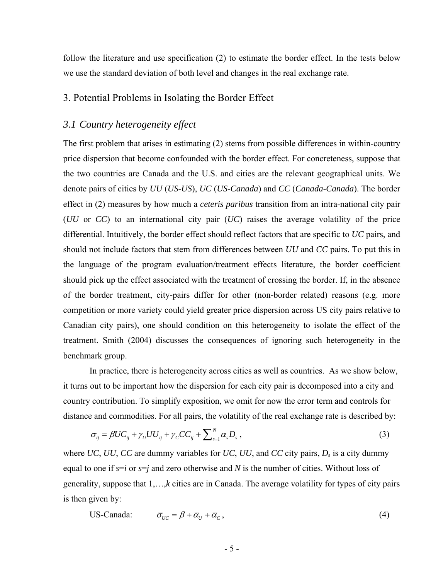follow the literature and use specification (2) to estimate the border effect. In the tests below we use the standard deviation of both level and changes in the real exchange rate.

# 3. Potential Problems in Isolating the Border Effect

## *3.1 Country heterogeneity effect*

The first problem that arises in estimating (2) stems from possible differences in within-country price dispersion that become confounded with the border effect. For concreteness, suppose that the two countries are Canada and the U.S. and cities are the relevant geographical units. We denote pairs of cities by *UU* (*US-US*), *UC* (*US-Canada*) and *CC* (*Canada-Canada*). The border effect in (2) measures by how much a *ceteris paribus* transition from an intra-national city pair (*UU* or *CC*) to an international city pair (*UC*) raises the average volatility of the price differential. Intuitively, the border effect should reflect factors that are specific to *UC* pairs, and should not include factors that stem from differences between *UU* and *CC* pairs. To put this in the language of the program evaluation/treatment effects literature, the border coefficient should pick up the effect associated with the treatment of crossing the border. If, in the absence of the border treatment, city-pairs differ for other (non-border related) reasons (e.g. more competition or more variety could yield greater price dispersion across US city pairs relative to Canadian city pairs), one should condition on this heterogeneity to isolate the effect of the treatment. Smith (2004) discusses the consequences of ignoring such heterogeneity in the benchmark group.

In practice, there is heterogeneity across cities as well as countries. As we show below, it turns out to be important how the dispersion for each city pair is decomposed into a city and country contribution. To simplify exposition, we omit for now the error term and controls for distance and commodities. For all pairs, the volatility of the real exchange rate is described by:

$$
\sigma_{ij} = \beta U C_{ij} + \gamma_U U U_{ij} + \gamma_C C C_{ij} + \sum_{s=1}^N \alpha_s D_s, \qquad (3)
$$

where *UC*, *UU*, *CC* are dummy variables for *UC*, *UU*, and *CC* city pairs, *Ds* is a city dummy equal to one if  $s=i$  or  $s=j$  and zero otherwise and *N* is the number of cities. Without loss of generality, suppose that 1,…,*k* cities are in Canada. The average volatility for types of city pairs is then given by:

US-Canada: 
$$
\overline{\sigma}_{\scriptscriptstyle{UC}} = \beta + \overline{\alpha}_{\scriptscriptstyle{U}} + \overline{\alpha}_{\scriptscriptstyle{C}}\,,
$$
 (4)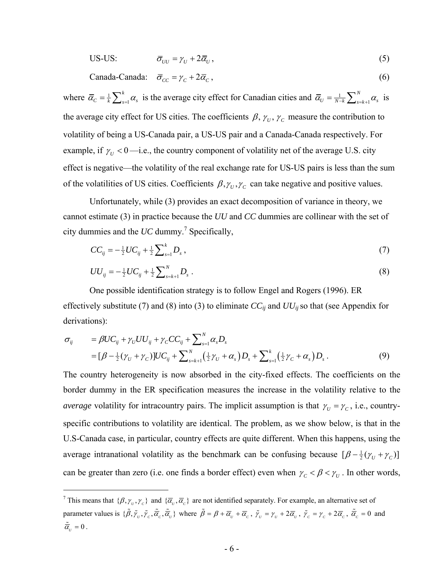US-US: 
$$
\overline{\sigma}_{UU} = \gamma_U + 2\overline{\alpha}_U, \qquad (5)
$$

Canada-Canada:  $\bar{\sigma}_{cc} = \gamma_c + 2\bar{\alpha}_c$ , (6)

where  $\bar{\alpha}_c = \frac{1}{k} \sum_{s=1}^{k}$  $\overline{\alpha}_c = \frac{1}{k} \sum_{s=1}^k \alpha_s$  is the average city effect for Canadian cities and  $\overline{\alpha}_v = \frac{1}{N-k} \sum_{s=k+1}^N \alpha_s$ *N*  $\overline{\alpha}_U = \frac{1}{N-k} \sum_{s=k+1}^N \alpha_s$  is the average city effect for US cities. The coefficients  $\beta$ ,  $\gamma_U$ ,  $\gamma_C$  measure the contribution to volatility of being a US-Canada pair, a US-US pair and a Canada-Canada respectively. For example, if  $\gamma_U < 0$ —i.e., the country component of volatility net of the average U.S. city effect is negative—the volatility of the real exchange rate for US-US pairs is less than the sum of the volatilities of US cities. Coefficients  $\beta, \gamma_U, \gamma_C$  can take negative and positive values.

Unfortunately, while (3) provides an exact decomposition of variance in theory, we cannot estimate (3) in practice because the *UU* and *CC* dummies are collinear with the set of city dummies and the  $UC$  dummy.<sup>7</sup> Specifically,

$$
CC_{ij} = -\frac{1}{2}UC_{ij} + \frac{1}{2}\sum_{s=1}^{k}D_s,
$$
\n(7)

$$
UU_{ij} = -\frac{1}{2}UC_{ij} + \frac{1}{2}\sum_{s=k+1}^{N}D_s \ . \tag{8}
$$

One possible identification strategy is to follow Engel and Rogers (1996). ER effectively substitute (7) and (8) into (3) to eliminate *CCij* and *UUij* so that (see Appendix for derivations):

$$
\sigma_{ij} = \beta U C_{ij} + \gamma_U U U_{ij} + \gamma_C C C_{ij} + \sum_{s=1}^N \alpha_s D_s
$$
  
=  $[\beta - \frac{1}{2}(\gamma_U + \gamma_C)]U C_{ij} + \sum_{s=k+1}^N (\frac{1}{2}\gamma_U + \alpha_s) D_s + \sum_{s=1}^k (\frac{1}{2}\gamma_C + \alpha_s) D_s.$  (9)

The country heterogeneity is now absorbed in the city-fixed effects. The coefficients on the border dummy in the ER specification measures the increase in the volatility relative to the *average* volatility for intracountry pairs. The implicit assumption is that  $\gamma_U = \gamma_C$ , i.e., countryspecific contributions to volatility are identical. The problem, as we show below, is that in the U.S-Canada case, in particular, country effects are quite different. When this happens, using the average intranational volatility as the benchmark can be confusing because  $[\beta - \frac{1}{2}(\gamma_U + \gamma_C)]$ can be greater than zero (i.e. one finds a border effect) even when  $\gamma_c < \beta < \gamma_v$ . In other words,

 $\overline{a}$ 

<sup>&</sup>lt;sup>7</sup> This means that  $\{\beta, \gamma_v, \gamma_c\}$  and  $\{\overline{\alpha}_v, \overline{\alpha}_c\}$  are not identified separately. For example, an alternative set of parameter values is  $\{\tilde{\beta}, \tilde{\gamma}_v, \tilde{\gamma}_c, \tilde{\overline{\alpha}}_v, \tilde{\overline{\alpha}}_v\}$  where  $\tilde{\beta} = \beta + \overline{\alpha}_v + \overline{\alpha}_c$ ,  $\tilde{\gamma}_v = \gamma_v + 2\overline{\alpha}_v$ ,  $\tilde{\gamma}_c = \gamma_c + 2\overline{\alpha}_c$ ,  $\tilde{\overline{\alpha}}_c = 0$  and  $\tilde{\overline{\alpha}}_{\scriptscriptstyle U} = 0$ .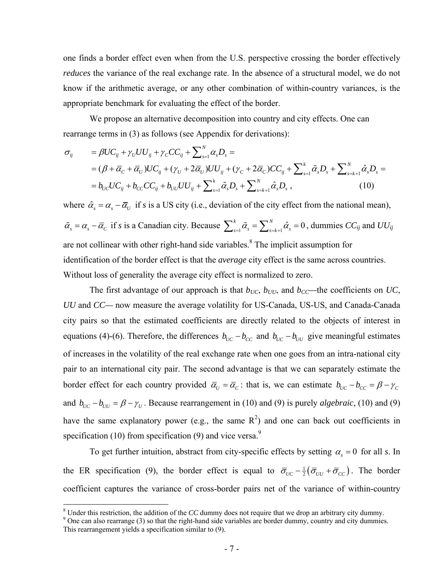one finds a border effect even when from the U.S. perspective crossing the border effectively *reduces* the variance of the real exchange rate. In the absence of a structural model, we do not know if the arithmetic average, or any other combination of within-country variances, is the appropriate benchmark for evaluating the effect of the border.

We propose an alternative decomposition into country and city effects. One can rearrange terms in (3) as follows (see Appendix for derivations):

$$
\sigma_{ij} = \beta U C_{ij} + \gamma_U U U_{ij} + \gamma_C C C_{ij} + \sum_{s=1}^N \alpha_s D_s =
$$
\n
$$
= (\beta + \overline{\alpha}_C + \overline{\alpha}_U) U C_{ij} + (\gamma_U + 2\overline{\alpha}_U) U U_{ij} + (\gamma_C + 2\overline{\alpha}_C) C C_{ij} + \sum_{s=1}^k \widetilde{\alpha}_s D_s + \sum_{s=k+1}^N \widehat{\alpha}_s D_s =
$$
\n
$$
= b_{UC} U C_{ij} + b_{CC} C C_{ij} + b_{UU} U U_{ij} + \sum_{s=1}^k \widetilde{\alpha}_s D_s + \sum_{s=k+1}^N \widehat{\alpha}_s D_s, \qquad (10)
$$

where  $\hat{\alpha}_s = \alpha_s - \overline{\alpha}_v$  if *s* is a US city (i.e., deviation of the city effect from the national mean),  $\tilde{\alpha}_s = \alpha_s - \overline{\alpha}_c$  if *s* is a Canadian city. Because  $\sum_{s=1}^k \tilde{\alpha}_s = \sum_{s=k+1}^N \hat{\alpha}_s = 0$ , dummies  $CC_{ij}$  and  $UU_{ij}$ are not collinear with other right-hand side variables. $8$  The implicit assumption for identification of the border effect is that the *average* city effect is the same across countries. Without loss of generality the average city effect is normalized to zero.

The first advantage of our approach is that  $b_{UC}$ ,  $b_{UU}$ , and  $b_{CC}$ —the coefficients on *UC*, *UU* and *CC—* now measure the average volatility for US-Canada, US-US, and Canada-Canada city pairs so that the estimated coefficients are directly related to the objects of interest in equations (4)-(6). Therefore, the differences  $b_{UC} - b_{CC}$  and  $b_{UC} - b_{UU}$  give meaningful estimates of increases in the volatility of the real exchange rate when one goes from an intra-national city pair to an international city pair. The second advantage is that we can separately estimate the border effect for each country provided  $\overline{\alpha}_U = \overline{\alpha}_C$ : that is, we can estimate  $b_{UC} - b_{CC} = \beta - \gamma_C$ and  $b_{UC} - b_{UU} = \beta - \gamma_U$ . Because rearrangement in (10) and (9) is purely *algebraic*, (10) and (9) have the same explanatory power (e.g., the same  $R^2$ ) and one can back out coefficients in specification (10) from specification (9) and vice versa. $9$ 

To get further intuition, abstract from city-specific effects by setting  $\alpha_s = 0$  for all *s*. In the ER specification (9), the border effect is equal to  $\overline{\sigma}_{UC} - \frac{1}{2} (\overline{\sigma}_{UU} + \overline{\sigma}_{CC})$ . The border coefficient captures the variance of cross-border pairs net of the variance of within-country

 $\frac{8}{8}$  Under this restriction, the addition of the *CC* dummy does not require that we drop an arbitrary city dummy.

 $\degree$  One can also rearrange (3) so that the right-hand side variables are border dummy, country and city dummies.

This rearrangement yields a specification similar to (9).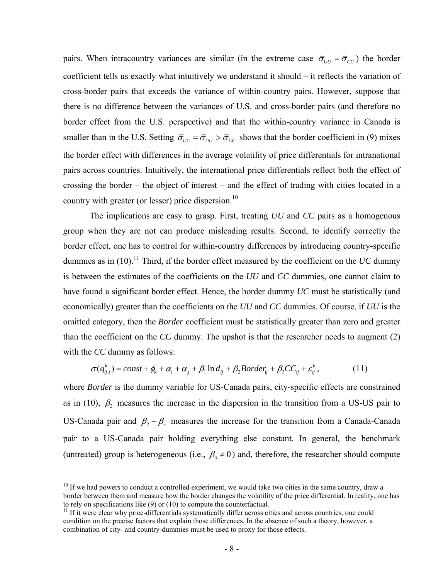pairs. When intracountry variances are similar (in the extreme case  $\bar{\sigma}_{UU} = \bar{\sigma}_{CC}$ ) the border coefficient tells us exactly what intuitively we understand it should – it reflects the variation of cross-border pairs that exceeds the variance of within-country pairs. However, suppose that there is no difference between the variances of U.S. and cross-border pairs (and therefore no border effect from the U.S. perspective) and that the within-country variance in Canada is smaller than in the U.S. Setting  $\bar{\sigma}_{UC} = \bar{\sigma}_{UU} > \bar{\sigma}_{CC}$  shows that the border coefficient in (9) mixes the border effect with differences in the average volatility of price differentials for intranational pairs across countries. Intuitively, the international price differentials reflect both the effect of crossing the border – the object of interest – and the effect of trading with cities located in a country with greater (or lesser) price dispersion.<sup>10</sup>

The implications are easy to grasp. First, treating *UU* and *CC* pairs as a homogenous group when they are not can produce misleading results. Second, to identify correctly the border effect, one has to control for within-country differences by introducing country-specific dummies as in  $(10)$ .<sup>11</sup> Third, if the border effect measured by the coefficient on the *UC* dummy is between the estimates of the coefficients on the *UU* and *CC* dummies, one cannot claim to have found a significant border effect. Hence, the border dummy *UC* must be statistically (and economically) greater than the coefficients on the *UU* and *CC* dummies. Of course, if *UU* is the omitted category, then the *Border* coefficient must be statistically greater than zero and greater than the coefficient on the *CC* dummy. The upshot is that the researcher needs to augment (2) with the *CC* dummy as follows:

$$
\sigma(q_{ij,t}^k) = const + \phi_k + \alpha_i + \alpha_j + \beta_1 \ln d_{ij} + \beta_2 Border_{ij} + \beta_3 CC_{ij} + \varepsilon_{ij}^k,
$$
 (11)

where *Border* is the dummy variable for US-Canada pairs, city-specific effects are constrained as in (10),  $\beta_2$  measures the increase in the dispersion in the transition from a US-US pair to US-Canada pair and  $\beta_2 - \beta_3$  measures the increase for the transition from a Canada-Canada pair to a US-Canada pair holding everything else constant. In general, the benchmark (untreated) group is heterogeneous (i.e.,  $\beta_3 \neq 0$ ) and, therefore, the researcher should compute

 $\overline{a}$ 

<sup>&</sup>lt;sup>10</sup> If we had powers to conduct a controlled experiment, we would take two cities in the same country, draw a border between them and measure how the border changes the volatility of the price differential. In reality, one has to rely on specifications like (9) or (10) to compute the counterfactual.

<sup>&</sup>lt;sup>11</sup> If it were clear why price-differentials systematically differ across cities and across countries, one could condition on the precise factors that explain those differences. In the absence of such a theory, however, a combination of city- and country-dummies must be used to proxy for those effects.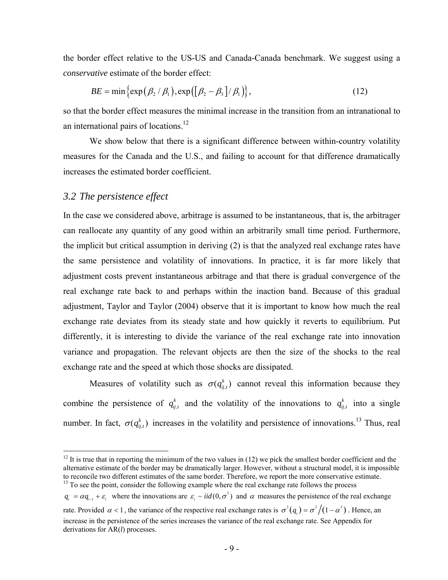the border effect relative to the US-US and Canada-Canada benchmark. We suggest using a *conservative* estimate of the border effect:

$$
BE = \min\left\{\exp\left(\beta_2/\beta_1\right), \exp\left(\left[\beta_2-\beta_3\right]/\beta_1\right)\right\},\tag{12}
$$

so that the border effect measures the minimal increase in the transition from an intranational to an international pairs of locations.12

We show below that there is a significant difference between within-country volatility measures for the Canada and the U.S., and failing to account for that difference dramatically increases the estimated border coefficient.

## *3.2 The persistence effect*

In the case we considered above, arbitrage is assumed to be instantaneous, that is, the arbitrager can reallocate any quantity of any good within an arbitrarily small time period. Furthermore, the implicit but critical assumption in deriving (2) is that the analyzed real exchange rates have the same persistence and volatility of innovations. In practice, it is far more likely that adjustment costs prevent instantaneous arbitrage and that there is gradual convergence of the real exchange rate back to and perhaps within the inaction band. Because of this gradual adjustment, Taylor and Taylor (2004) observe that it is important to know how much the real exchange rate deviates from its steady state and how quickly it reverts to equilibrium. Put differently, it is interesting to divide the variance of the real exchange rate into innovation variance and propagation. The relevant objects are then the size of the shocks to the real exchange rate and the speed at which those shocks are dissipated.

Measures of volatility such as  $\sigma(q_{ij,t}^k)$  cannot reveal this information because they combine the persistence of  $q_{ij,t}^k$  and the volatility of the innovations to  $q_{ij,t}^k$  into a single number. In fact,  $\sigma(q_{ij,t}^k)$  increases in the volatility and persistence of innovations.<sup>13</sup> Thus, real

 $q_i = \alpha q_{i-1} + \varepsilon_i$  where the innovations are  $\varepsilon_i \sim \text{iid}(0, \sigma^2)$  and  $\alpha$  measures the persistence of the real exchange rate. Provided  $\alpha < 1$ , the variance of the respective real exchange rates is  $\sigma^2(q) = \frac{\sigma^2}{1 - \alpha^2}$ . Hence, an increase in the persistence of the series increases the variance of the real exchange rate. See Appendix for

derivations for AR(*l*) processes.

 $\overline{a}$ 

 $12$  It is true that in reporting the minimum of the two values in (12) we pick the smallest border coefficient and the alternative estimate of the border may be dramatically larger. However, without a structural model, it is impossible to reconcile two different estimates of the same border. Therefore, we report the more conservative estim  $13$  To see the point, consider the following example where the real exchange rate follows the process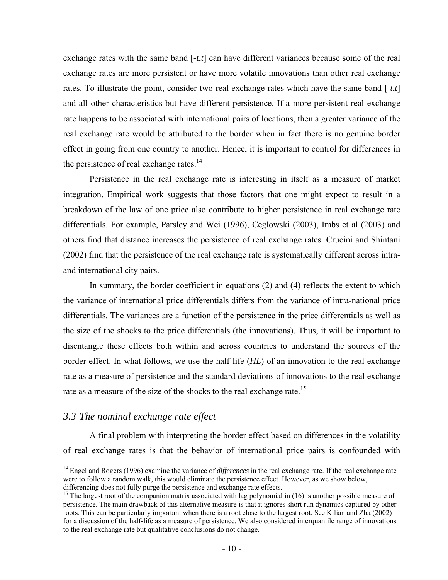exchange rates with the same band  $[-t,t]$  can have different variances because some of the real exchange rates are more persistent or have more volatile innovations than other real exchange rates. To illustrate the point, consider two real exchange rates which have the same band [-*t*,*t*] and all other characteristics but have different persistence. If a more persistent real exchange rate happens to be associated with international pairs of locations, then a greater variance of the real exchange rate would be attributed to the border when in fact there is no genuine border effect in going from one country to another. Hence, it is important to control for differences in the persistence of real exchange rates.<sup>14</sup>

Persistence in the real exchange rate is interesting in itself as a measure of market integration. Empirical work suggests that those factors that one might expect to result in a breakdown of the law of one price also contribute to higher persistence in real exchange rate differentials. For example, Parsley and Wei (1996), Ceglowski (2003), Imbs et al (2003) and others find that distance increases the persistence of real exchange rates. Crucini and Shintani (2002) find that the persistence of the real exchange rate is systematically different across intraand international city pairs.

In summary, the border coefficient in equations (2) and (4) reflects the extent to which the variance of international price differentials differs from the variance of intra-national price differentials. The variances are a function of the persistence in the price differentials as well as the size of the shocks to the price differentials (the innovations). Thus, it will be important to disentangle these effects both within and across countries to understand the sources of the border effect. In what follows, we use the half-life (*HL*) of an innovation to the real exchange rate as a measure of persistence and the standard deviations of innovations to the real exchange rate as a measure of the size of the shocks to the real exchange rate.<sup>15</sup>

## *3.3 The nominal exchange rate effect*

 $\overline{a}$ 

A final problem with interpreting the border effect based on differences in the volatility of real exchange rates is that the behavior of international price pairs is confounded with

<sup>14</sup> Engel and Rogers (1996) examine the variance of *differences* in the real exchange rate. If the real exchange rate were to follow a random walk, this would eliminate the persistence effect. However, as we show below, differencing does not fully purge the persistence and exchange rate effects.

 $^{15}$  The largest root of the companion matrix associated with lag polynomial in (16) is another possible measure of persistence. The main drawback of this alternative measure is that it ignores short run dynamics captured by other roots. This can be particularly important when there is a root close to the largest root. See Kilian and Zha (2002) for a discussion of the half-life as a measure of persistence. We also considered interquantile range of innovations to the real exchange rate but qualitative conclusions do not change.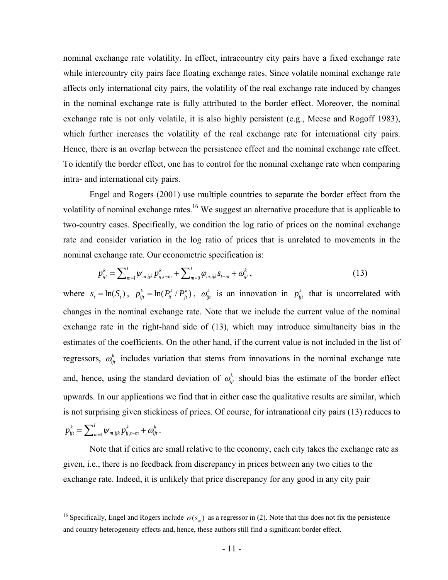nominal exchange rate volatility. In effect, intracountry city pairs have a fixed exchange rate while intercountry city pairs face floating exchange rates. Since volatile nominal exchange rate affects only international city pairs, the volatility of the real exchange rate induced by changes in the nominal exchange rate is fully attributed to the border effect. Moreover, the nominal exchange rate is not only volatile, it is also highly persistent (e.g., Meese and Rogoff 1983), which further increases the volatility of the real exchange rate for international city pairs. Hence, there is an overlap between the persistence effect and the nominal exchange rate effect. To identify the border effect, one has to control for the nominal exchange rate when comparing intra- and international city pairs.

Engel and Rogers (2001) use multiple countries to separate the border effect from the volatility of nominal exchange rates.<sup>16</sup> We suggest an alternative procedure that is applicable to two-country cases. Specifically, we condition the log ratio of prices on the nominal exchange rate and consider variation in the log ratio of prices that is unrelated to movements in the nominal exchange rate. Our econometric specification is:

$$
p_{ijt}^k = \sum_{m=1}^l \psi_{m,jjk} p_{ij,t-m}^k + \sum_{m=0}^l \varphi_{m,jjk} s_{t-m} + \omega_{ijt}^k, \qquad (13)
$$

where  $s_t = \ln(S_t)$ ,  $p_{ijt}^k = \ln(P_i^k / P_{ji}^k)$ ,  $\omega_{ijt}^k$  is an innovation in  $p_{ijt}^k$  that is uncorrelated with changes in the nominal exchange rate. Note that we include the current value of the nominal exchange rate in the right-hand side of (13), which may introduce simultaneity bias in the estimates of the coefficients. On the other hand, if the current value is not included in the list of regressors,  $\omega_{ij}^k$  includes variation that stems from innovations in the nominal exchange rate and, hence, using the standard deviation of  $\omega_{ij}^k$  should bias the estimate of the border effect upwards. In our applications we find that in either case the qualitative results are similar, which is not surprising given stickiness of prices. Of course, for intranational city pairs (13) reduces to

$$
p_{ijt}^k = \sum_{m=1}^l \psi_{m,jjk} p_{ij,t-m}^k + \omega_{ijt}^k.
$$

 $\overline{a}$ 

Note that if cities are small relative to the economy, each city takes the exchange rate as given, i.e., there is no feedback from discrepancy in prices between any two cities to the exchange rate. Indeed, it is unlikely that price discrepancy for any good in any city pair

<sup>&</sup>lt;sup>16</sup> Specifically, Engel and Rogers include  $\sigma(s_{in})$  as a regressor in (2). Note that this does not fix the persistence and country heterogeneity effects and, hence, these authors still find a significant border effect.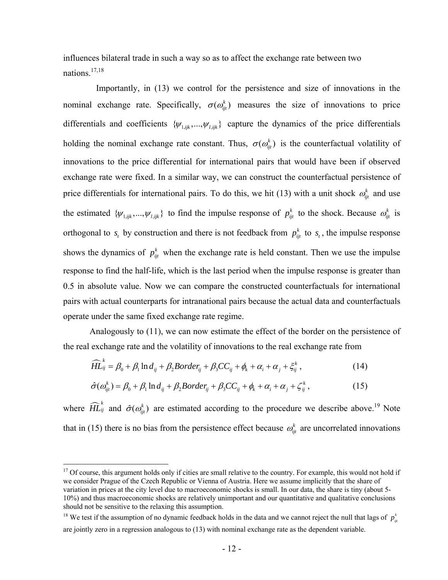influences bilateral trade in such a way so as to affect the exchange rate between two nations.17,18

Importantly, in (13) we control for the persistence and size of innovations in the nominal exchange rate. Specifically,  $\sigma(\omega_{\theta}^k)$  measures the size of innovations to price differentials and coefficients  $\{\psi_{1, ijk}, ..., \psi_{l, ijk}\}$  capture the dynamics of the price differentials holding the nominal exchange rate constant. Thus,  $\sigma(\omega_{ij}^k)$  is the counterfactual volatility of innovations to the price differential for international pairs that would have been if observed exchange rate were fixed. In a similar way, we can construct the counterfactual persistence of price differentials for international pairs. To do this, we hit (13) with a unit shock  $\omega_{\text{in}}^k$  and use the estimated  $\{\psi_{1,ijk}, ..., \psi_{l,ijk}\}\)$  to find the impulse response of  $p_{ij}^k$  to the shock. Because  $\omega_{ij}^k$  is orthogonal to  $s_t$  by construction and there is not feedback from  $p_{ijt}^k$  to  $s_t$ , the impulse response shows the dynamics of  $p_{ijt}^k$  when the exchange rate is held constant. Then we use the impulse response to find the half-life, which is the last period when the impulse response is greater than 0.5 in absolute value. Now we can compare the constructed counterfactuals for international pairs with actual counterparts for intranational pairs because the actual data and counterfactuals operate under the same fixed exchange rate regime.

Analogously to (11), we can now estimate the effect of the border on the persistence of the real exchange rate and the volatility of innovations to the real exchange rate from

$$
\widehat{HL}_{ij}^k = \beta_0 + \beta_1 \ln d_{ij} + \beta_2 Border_{ij} + \beta_3 CC_{ij} + \phi_k + \alpha_i + \alpha_j + \xi_{ij}^k,
$$
\n(14)

$$
\hat{\sigma}(\omega_{ij}^k) = \beta_0 + \beta_1 \ln d_{ij} + \beta_2 Border_{ij} + \beta_3 CC_{ij} + \phi_k + \alpha_i + \alpha_j + \zeta_{ij}^k,
$$
\n(15)

where  $\widehat{HL}_{ij}^k$  and  $\hat{\sigma}(\omega_{ij}^k)$  are estimated according to the procedure we describe above.<sup>19</sup> Note that in (15) there is no bias from the persistence effect because  $\omega_{ij}^k$  are uncorrelated innovations

 $\overline{a}$ 

<sup>18</sup> We test if the assumption of no dynamic feedback holds in the data and we cannot reject the null that lags of  $p_{\hat{i}\hat{j}}^k$ are jointly zero in a regression analogous to (13) with nominal exchange rate as the dependent variable.

 $17$  Of course, this argument holds only if cities are small relative to the country. For example, this would not hold if we consider Prague of the Czech Republic or Vienna of Austria. Here we assume implicitly that the share of variation in prices at the city level due to macroeconomic shocks is small. In our data, the share is tiny (about 5- 10%) and thus macroeconomic shocks are relatively unimportant and our quantitative and qualitative conclusions should not be sensitive to the relaxing this assumption.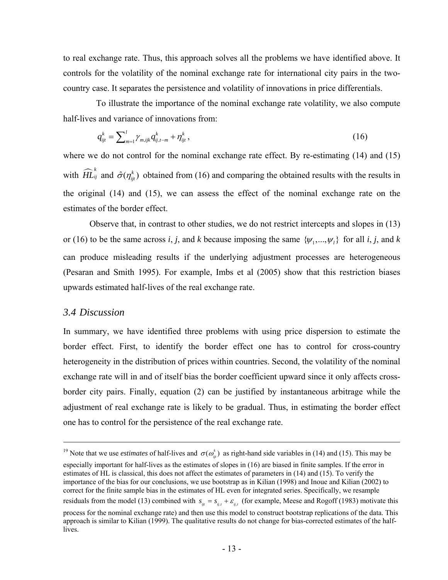to real exchange rate. Thus, this approach solves all the problems we have identified above. It controls for the volatility of the nominal exchange rate for international city pairs in the twocountry case. It separates the persistence and volatility of innovations in price differentials.

To illustrate the importance of the nominal exchange rate volatility, we also compute half-lives and variance of innovations from:

$$
q_{ijt}^k = \sum_{m=1}^l \gamma_{m,ijk} q_{ij,t-m}^k + \eta_{ijt}^k, \qquad (16)
$$

where we do not control for the nominal exchange rate effect. By re-estimating (14) and (15) with  $\widehat{HL}_{ij}^k$  and  $\hat{\sigma}(\eta_{ij}^k)$  obtained from (16) and comparing the obtained results with the results in the original (14) and (15), we can assess the effect of the nominal exchange rate on the estimates of the border effect.

Observe that, in contrast to other studies, we do not restrict intercepts and slopes in (13) or (16) to be the same across *i*, *j*, and *k* because imposing the same  $\{\psi_1, \dots, \psi_l\}$  for all *i*, *j*, and *k* can produce misleading results if the underlying adjustment processes are heterogeneous (Pesaran and Smith 1995). For example, Imbs et al (2005) show that this restriction biases upwards estimated half-lives of the real exchange rate.

#### *3.4 Discussion*

In summary, we have identified three problems with using price dispersion to estimate the border effect. First, to identify the border effect one has to control for cross-country heterogeneity in the distribution of prices within countries. Second, the volatility of the nominal exchange rate will in and of itself bias the border coefficient upward since it only affects crossborder city pairs. Finally, equation (2) can be justified by instantaneous arbitrage while the adjustment of real exchange rate is likely to be gradual. Thus, in estimating the border effect one has to control for the persistence of the real exchange rate.

especially important for half-lives as the estimates of slopes in (16) are biased in finite samples. If the error in estimates of HL is classical, this does not affect the estimates of parameters in (14) and (15). To verify the importance of the bias for our conclusions, we use bootstrap as in Kilian (1998) and Inoue and Kilian (2002) to correct for the finite sample bias in the estimates of HL even for integrated series. Specifically, we resample residuals from the model (13) combined with  $s_{in} = s_{in} + \varepsilon_{in}$  (for example, Meese and Rogoff (1983) motivate this

<sup>&</sup>lt;sup>19</sup> Note that we use *estimates* of half-lives and  $\sigma(\omega_{ij}^k)$  as right-hand side variables in (14) and (15). This may be

process for the nominal exchange rate) and then use this model to construct bootstrap replications of the data. This approach is similar to Kilian (1999). The qualitative results do not change for bias-corrected estimates of the halflives.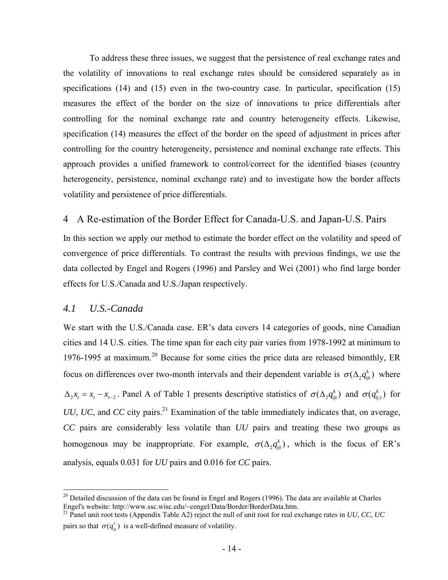To address these three issues, we suggest that the persistence of real exchange rates and the volatility of innovations to real exchange rates should be considered separately as in specifications (14) and (15) even in the two-country case. In particular, specification (15) measures the effect of the border on the size of innovations to price differentials after controlling for the nominal exchange rate and country heterogeneity effects. Likewise, specification (14) measures the effect of the border on the speed of adjustment in prices after controlling for the country heterogeneity, persistence and nominal exchange rate effects. This approach provides a unified framework to control/correct for the identified biases (country heterogeneity, persistence, nominal exchange rate) and to investigate how the border affects volatility and persistence of price differentials.

# 4 A Re-estimation of the Border Effect for Canada-U.S. and Japan-U.S. Pairs

In this section we apply our method to estimate the border effect on the volatility and speed of convergence of price differentials. To contrast the results with previous findings, we use the data collected by Engel and Rogers (1996) and Parsley and Wei (2001) who find large border effects for U.S./Canada and U.S./Japan respectively.

## *4.1 U.S.-Canada*

 $\overline{a}$ 

We start with the U.S./Canada case. ER's data covers 14 categories of goods, nine Canadian cities and 14 U.S. cities. The time span for each city pair varies from 1978-1992 at minimum to 1976-1995 at maximum.20 Because for some cities the price data are released bimonthly, ER focus on differences over two-month intervals and their dependent variable is  $\sigma(\Delta_2 q_{ijt}^k)$  where  $\Delta_2 x_t = x_t - x_{t-2}$ . Panel A of Table 1 presents descriptive statistics of  $\sigma(\Delta_2 q_{ij}^k)$  and  $\sigma(q_{ij,t}^k)$  for *UU*, *UC*, and *CC* city pairs.<sup>21</sup> Examination of the table immediately indicates that, on average, *CC* pairs are considerably less volatile than *UU* pairs and treating these two groups as homogenous may be inappropriate. For example,  $\sigma(\Delta_2 q_{ij}^k)$ , which is the focus of ER's analysis, equals 0.031 for *UU* pairs and 0.016 for *CC* pairs.

 $20$  Detailed discussion of the data can be found in Engel and Rogers (1996). The data are available at Charles Engel's website: http://www.ssc.wisc.edu/~cengel/Data/Border/BorderData.htm. 21 Panel unit root tests (Appendix Table A2) reject the null of unit root for real exchange rates in *UU*, *CC*, *UC*

pairs so that  $\sigma(q_{ij}^k)$  is a well-defined measure of volatility.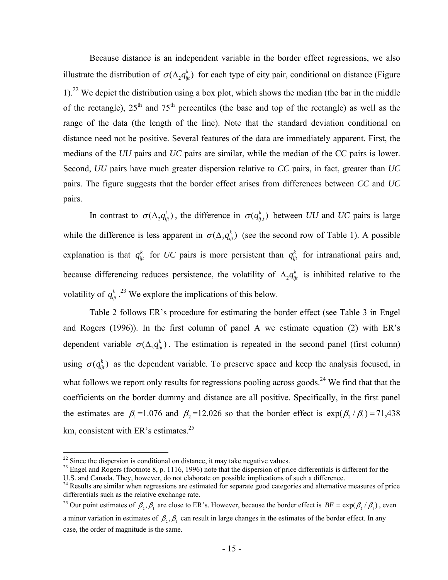Because distance is an independent variable in the border effect regressions, we also illustrate the distribution of  $\sigma(\Delta_2 q_{ijt}^k)$  for each type of city pair, conditional on distance (Figure 1).22 We depict the distribution using a box plot, which shows the median (the bar in the middle of the rectangle),  $25<sup>th</sup>$  and  $75<sup>th</sup>$  percentiles (the base and top of the rectangle) as well as the range of the data (the length of the line). Note that the standard deviation conditional on distance need not be positive. Several features of the data are immediately apparent. First, the medians of the *UU* pairs and *UC* pairs are similar, while the median of the CC pairs is lower. Second, *UU* pairs have much greater dispersion relative to *CC* pairs, in fact, greater than *UC* pairs. The figure suggests that the border effect arises from differences between *CC* and *UC* pairs.

In contrast to  $\sigma(\Delta_2 q_{ij}^k)$ , the difference in  $\sigma(q_{ij,t}^k)$  between *UU* and *UC* pairs is large while the difference is less apparent in  $\sigma(\Delta_2 q_{ij}^k)$  (see the second row of Table 1). A possible explanation is that  $q_{ijt}^k$  for *UC* pairs is more persistent than  $q_{ijt}^k$  for intranational pairs and, because differencing reduces persistence, the volatility of  $\Delta_2 q_{ij}^k$  is inhibited relative to the volatility of  $q_{ijt}^k$  .<sup>23</sup> We explore the implications of this below.

Table 2 follows ER's procedure for estimating the border effect (see Table 3 in Engel and Rogers (1996)). In the first column of panel A we estimate equation (2) with ER's dependent variable  $\sigma(\Delta_2 q_{ij}^k)$ . The estimation is repeated in the second panel (first column) using  $\sigma(q_{ij}^k)$  as the dependent variable. To preserve space and keep the analysis focused, in what follows we report only results for regressions pooling across goods.<sup>24</sup> We find that that the coefficients on the border dummy and distance are all positive. Specifically, in the first panel the estimates are  $\beta_1 = 1.076$  and  $\beta_2 = 12.026$  so that the border effect is  $\exp(\beta_2 / \beta_1) = 71,438$ km, consistent with ER's estimates.<sup>25</sup>

<sup>25</sup> Our point estimates of  $\beta_1$ ,  $\beta_1$  are close to ER's. However, because the border effect is  $BE = \exp(\beta_1/\beta_1)$ , even

<sup>&</sup>lt;sup>22</sup> Since the dispersion is conditional on distance, it may take negative values.

 $^{23}$  Engel and Rogers (footnote 8, p. 1116, 1996) note that the dispersion of price differentials is different for the

U.S. and Canada. They, however, do not elaborate on possible implications of such a difference.<br><sup>24</sup> Results are similar when regressions are estimated for separate good categories and alternative measures of price<br>differe

a minor variation in estimates of  $\beta_2$ ,  $\beta_1$  can result in large changes in the estimates of the border effect. In any case, the order of magnitude is the same.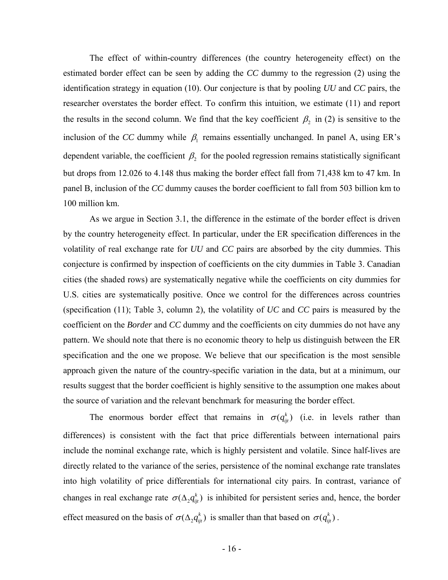The effect of within-country differences (the country heterogeneity effect) on the estimated border effect can be seen by adding the *CC* dummy to the regression (2) using the identification strategy in equation (10). Our conjecture is that by pooling *UU* and *CC* pairs, the researcher overstates the border effect. To confirm this intuition, we estimate (11) and report the results in the second column. We find that the key coefficient  $\beta_2$  in (2) is sensitive to the inclusion of the *CC* dummy while  $\beta_1$  remains essentially unchanged. In panel A, using ER's dependent variable, the coefficient  $\beta_2$  for the pooled regression remains statistically significant but drops from 12.026 to 4.148 thus making the border effect fall from 71,438 km to 47 km. In panel B, inclusion of the *CC* dummy causes the border coefficient to fall from 503 billion km to 100 million km.

As we argue in Section 3.1, the difference in the estimate of the border effect is driven by the country heterogeneity effect. In particular, under the ER specification differences in the volatility of real exchange rate for *UU* and *CC* pairs are absorbed by the city dummies. This conjecture is confirmed by inspection of coefficients on the city dummies in Table 3. Canadian cities (the shaded rows) are systematically negative while the coefficients on city dummies for U.S. cities are systematically positive. Once we control for the differences across countries (specification (11); Table 3, column 2), the volatility of *UC* and *CC* pairs is measured by the coefficient on the *Border* and *CC* dummy and the coefficients on city dummies do not have any pattern. We should note that there is no economic theory to help us distinguish between the ER specification and the one we propose. We believe that our specification is the most sensible approach given the nature of the country-specific variation in the data, but at a minimum, our results suggest that the border coefficient is highly sensitive to the assumption one makes about the source of variation and the relevant benchmark for measuring the border effect.

The enormous border effect that remains in  $\sigma(q_{ij}^k)$  (i.e. in levels rather than differences) is consistent with the fact that price differentials between international pairs include the nominal exchange rate, which is highly persistent and volatile. Since half-lives are directly related to the variance of the series, persistence of the nominal exchange rate translates into high volatility of price differentials for international city pairs. In contrast, variance of changes in real exchange rate  $\sigma(\Delta_2 q_{ij}^k)$  is inhibited for persistent series and, hence, the border effect measured on the basis of  $\sigma(\Delta_2 q_{ij}^k)$  is smaller than that based on  $\sigma(q_{ij}^k)$ .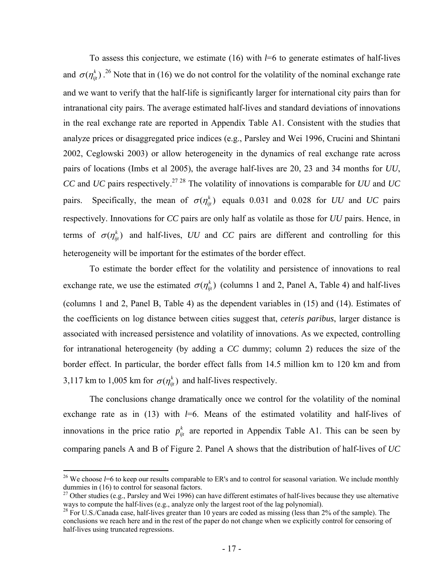To assess this conjecture, we estimate (16) with *l*=6 to generate estimates of half-lives and  $\sigma(\eta_{ij}^k)$ .<sup>26</sup> Note that in (16) we do not control for the volatility of the nominal exchange rate and we want to verify that the half-life is significantly larger for international city pairs than for intranational city pairs. The average estimated half-lives and standard deviations of innovations in the real exchange rate are reported in Appendix Table A1. Consistent with the studies that analyze prices or disaggregated price indices (e.g., Parsley and Wei 1996, Crucini and Shintani 2002, Ceglowski 2003) or allow heterogeneity in the dynamics of real exchange rate across pairs of locations (Imbs et al 2005), the average half-lives are 20, 23 and 34 months for *UU*, *CC* and *UC* pairs respectively.27 28 The volatility of innovations is comparable for *UU* and *UC* pairs. Specifically, the mean of  $\sigma(\eta_{\text{in}}^k)$  equals 0.031 and 0.028 for *UU* and *UC* pairs respectively. Innovations for *CC* pairs are only half as volatile as those for *UU* pairs. Hence, in terms of  $\sigma(\eta_{ij}^k)$  and half-lives, *UU* and *CC* pairs are different and controlling for this heterogeneity will be important for the estimates of the border effect.

To estimate the border effect for the volatility and persistence of innovations to real exchange rate, we use the estimated  $\sigma(\eta_{ij}^k)$  (columns 1 and 2, Panel A, Table 4) and half-lives (columns 1 and 2, Panel B, Table 4) as the dependent variables in (15) and (14). Estimates of the coefficients on log distance between cities suggest that, *ceteris paribus*, larger distance is associated with increased persistence and volatility of innovations. As we expected, controlling for intranational heterogeneity (by adding a *CC* dummy; column 2) reduces the size of the border effect. In particular, the border effect falls from 14.5 million km to 120 km and from 3,117 km to 1,005 km for  $\sigma(\eta_{\text{iii}}^k)$  and half-lives respectively.

The conclusions change dramatically once we control for the volatility of the nominal exchange rate as in  $(13)$  with  $l=6$ . Means of the estimated volatility and half-lives of innovations in the price ratio  $p_{ij}^k$  are reported in Appendix Table A1. This can be seen by comparing panels A and B of Figure 2. Panel A shows that the distribution of half-lives of *UC*

 $\overline{a}$ 

<sup>&</sup>lt;sup>26</sup> We choose *l*=6 to keep our results comparable to ER's and to control for seasonal variation. We include monthly dummies in (16) to control for seasonal factors.

<sup>&</sup>lt;sup>27</sup> Other studies (e.g., Parsley and Wei 1996) can have different estimates of half-lives because they use alternative ways to compute the half-lives (e.g., analyze only the largest root of the lag polynomial).

<sup>&</sup>lt;sup>28</sup> For U.S./Canada case, half-lives greater than 10 years are coded as missing (less than 2% of the sample). The conclusions we reach here and in the rest of the paper do not change when we explicitly control for censoring of half-lives using truncated regressions.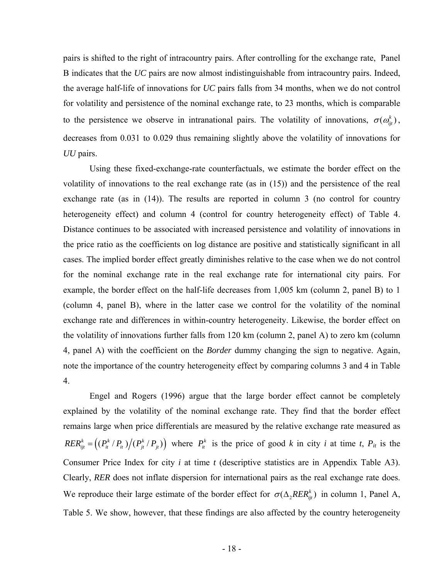pairs is shifted to the right of intracountry pairs. After controlling for the exchange rate, Panel B indicates that the *UC* pairs are now almost indistinguishable from intracountry pairs. Indeed, the average half-life of innovations for *UC* pairs falls from 34 months, when we do not control for volatility and persistence of the nominal exchange rate, to 23 months, which is comparable to the persistence we observe in intranational pairs. The volatility of innovations,  $\sigma(\omega_{\text{int}}^k)$ , decreases from 0.031 to 0.029 thus remaining slightly above the volatility of innovations for *UU* pairs.

Using these fixed-exchange-rate counterfactuals, we estimate the border effect on the volatility of innovations to the real exchange rate (as in (15)) and the persistence of the real exchange rate (as in (14)). The results are reported in column 3 (no control for country heterogeneity effect) and column 4 (control for country heterogeneity effect) of Table 4. Distance continues to be associated with increased persistence and volatility of innovations in the price ratio as the coefficients on log distance are positive and statistically significant in all cases. The implied border effect greatly diminishes relative to the case when we do not control for the nominal exchange rate in the real exchange rate for international city pairs. For example, the border effect on the half-life decreases from 1,005 km (column 2, panel B) to 1 (column 4, panel B), where in the latter case we control for the volatility of the nominal exchange rate and differences in within-country heterogeneity. Likewise, the border effect on the volatility of innovations further falls from 120 km (column 2, panel A) to zero km (column 4, panel A) with the coefficient on the *Border* dummy changing the sign to negative. Again, note the importance of the country heterogeneity effect by comparing columns 3 and 4 in Table 4.

Engel and Rogers (1996) argue that the large border effect cannot be completely explained by the volatility of the nominal exchange rate. They find that the border effect remains large when price differentials are measured by the relative exchange rate measured as  $RER_{ijt}^{k} = ((P_{it}^{k}/P_{it})/(P_{jt}^{k}/P_{jt}))$  where  $P_{it}^{k}$  is the price of good *k* in city *i* at time *t*,  $P_{it}$  is the Consumer Price Index for city *i* at time *t* (descriptive statistics are in Appendix Table A3). Clearly, *RER* does not inflate dispersion for international pairs as the real exchange rate does. We reproduce their large estimate of the border effect for  $\sigma(\Delta_2 R E R_{\text{int}}^k)$  in column 1, Panel A, Table 5. We show, however, that these findings are also affected by the country heterogeneity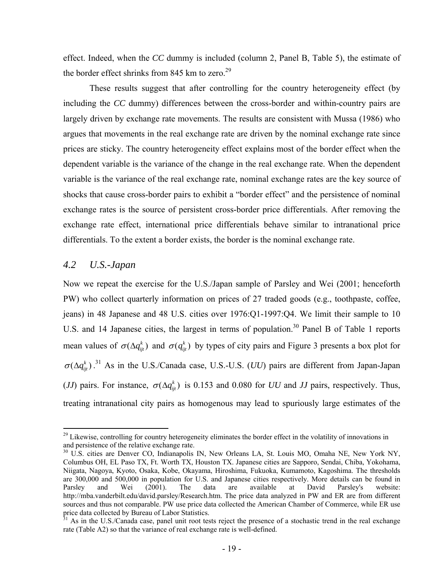effect. Indeed, when the *CC* dummy is included (column 2, Panel B, Table 5), the estimate of the border effect shrinks from 845 km to zero. $29$ 

These results suggest that after controlling for the country heterogeneity effect (by including the *CC* dummy) differences between the cross-border and within-country pairs are largely driven by exchange rate movements. The results are consistent with Mussa (1986) who argues that movements in the real exchange rate are driven by the nominal exchange rate since prices are sticky. The country heterogeneity effect explains most of the border effect when the dependent variable is the variance of the change in the real exchange rate. When the dependent variable is the variance of the real exchange rate, nominal exchange rates are the key source of shocks that cause cross-border pairs to exhibit a "border effect" and the persistence of nominal exchange rates is the source of persistent cross-border price differentials. After removing the exchange rate effect, international price differentials behave similar to intranational price differentials. To the extent a border exists, the border is the nominal exchange rate.

# *4.2 U.S.-Japan*

 $\overline{a}$ 

Now we repeat the exercise for the U.S./Japan sample of Parsley and Wei (2001; henceforth PW) who collect quarterly information on prices of 27 traded goods (e.g., toothpaste, coffee, jeans) in 48 Japanese and 48 U.S. cities over 1976:Q1-1997:Q4. We limit their sample to 10 U.S. and 14 Japanese cities, the largest in terms of population.<sup>30</sup> Panel B of Table 1 reports mean values of  $\sigma(\Delta q_{ij}^k)$  and  $\sigma(q_{ij}^k)$  by types of city pairs and Figure 3 presents a box plot for  $\sigma(\Delta q_{ij}^k)$ .<sup>31</sup> As in the U.S./Canada case, U.S.-U.S. (*UU*) pairs are different from Japan-Japan (*JJ*) pairs. For instance,  $\sigma(\Delta q_{ij}^k)$  is 0.153 and 0.080 for *UU* and *JJ* pairs, respectively. Thus, treating intranational city pairs as homogenous may lead to spuriously large estimates of the

 $^{29}$  Likewise, controlling for country heterogeneity eliminates the border effect in the volatility of innovations in and persistence of the relative exchange rate.<br><sup>30</sup> U.S. cities are Denver CO, Indianapolis IN, New Orleans LA, St. Louis MO, Omaha NE, New York NY,

Columbus OH, EL Paso TX, Ft. Worth TX, Houston TX. Japanese cities are Sapporo, Sendai, Chiba, Yokohama, Niigata, Nagoya, Kyoto, Osaka, Kobe, Okayama, Hiroshima, Fukuoka, Kumamoto, Kagoshima. The thresholds are 300,000 and 500,000 in population for U.S. and Japanese cities respectively. More details can be found in Parsley and Wei (2001). The data are available at David Parsley's website: http://mba.vanderbilt.edu/david.parsley/Research.htm. The price data analyzed in PW and ER are from different sources and thus not comparable. PW use price data collected the American Chamber of Commerce, while ER use price data collected by Bureau of Labor Statistics.<br><sup>31</sup> As in the U.S./Canada case, panel unit root tests reject the presence of a stochastic trend in the real exchange

rate (Table A2) so that the variance of real exchange rate is well-defined.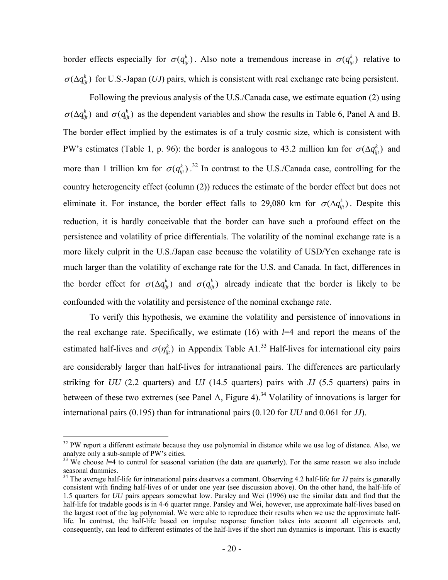border effects especially for  $\sigma(q_{ijt}^k)$ . Also note a tremendous increase in  $\sigma(q_{ijt}^k)$  relative to  $\sigma(\Delta q_{ij}^k)$  for U.S.-Japan (*UJ*) pairs, which is consistent with real exchange rate being persistent.

Following the previous analysis of the U.S./Canada case, we estimate equation (2) using  $\sigma(\Delta q_{ij}^k)$  and  $\sigma(q_{ij}^k)$  as the dependent variables and show the results in Table 6, Panel A and B. The border effect implied by the estimates is of a truly cosmic size, which is consistent with PW's estimates (Table 1, p. 96): the border is analogous to 43.2 million km for  $\sigma(\Delta q_{ij}^k)$  and more than 1 trillion km for  $\sigma ( q_{ij}^k)$ .<sup>32</sup> In contrast to the U.S./Canada case, controlling for the country heterogeneity effect (column (2)) reduces the estimate of the border effect but does not eliminate it. For instance, the border effect falls to 29,080 km for  $\sigma(\Delta q_{ij}^k)$ . Despite this reduction, it is hardly conceivable that the border can have such a profound effect on the persistence and volatility of price differentials. The volatility of the nominal exchange rate is a more likely culprit in the U.S./Japan case because the volatility of USD/Yen exchange rate is much larger than the volatility of exchange rate for the U.S. and Canada. In fact, differences in the border effect for  $\sigma(\Delta q_{ij}^k)$  and  $\sigma(q_{ij}^k)$  already indicate that the border is likely to be confounded with the volatility and persistence of the nominal exchange rate.

To verify this hypothesis, we examine the volatility and persistence of innovations in the real exchange rate. Specifically, we estimate (16) with *l*=4 and report the means of the estimated half-lives and  $\sigma(\eta_{ij}^k)$  in Appendix Table A1.<sup>33</sup> Half-lives for international city pairs are considerably larger than half-lives for intranational pairs. The differences are particularly striking for *UU* (2.2 quarters) and *UJ* (14.5 quarters) pairs with *JJ* (5.5 quarters) pairs in between of these two extremes (see Panel A, Figure 4).<sup>34</sup> Volatility of innovations is larger for international pairs (0.195) than for intranational pairs (0.120 for *UU* and 0.061 for *JJ*).

 $\overline{a}$ 

<sup>&</sup>lt;sup>32</sup> PW report a different estimate because they use polynomial in distance while we use log of distance. Also, we analyze only a sub-sample of PW's cities.

 $33$  We choose  $l=4$  to control for seasonal variation (the data are quarterly). For the same reason we also include seasonal dummies.

<sup>&</sup>lt;sup>34</sup> The average half-life for intranational pairs deserves a comment. Observing 4.2 half-life for *JJ* pairs is generally consistent with finding half-lives of or under one year (see discussion above). On the other hand, the half-life of 1.5 quarters for *UU* pairs appears somewhat low. Parsley and Wei (1996) use the similar data and find that the half-life for tradable goods is in 4-6 quarter range. Parsley and Wei, however, use approximate half-lives based on the largest root of the lag polynomial. We were able to reproduce their results when we use the approximate halflife. In contrast, the half-life based on impulse response function takes into account all eigenroots and, consequently, can lead to different estimates of the half-lives if the short run dynamics is important. This is exactly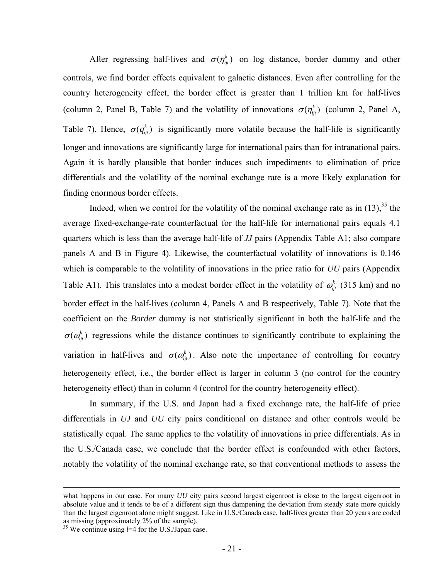After regressing half-lives and  $\sigma(\eta_{ij}^k)$  on log distance, border dummy and other controls, we find border effects equivalent to galactic distances. Even after controlling for the country heterogeneity effect, the border effect is greater than 1 trillion km for half-lives (column 2, Panel B, Table 7) and the volatility of innovations  $\sigma(\eta_{i\dot{t}}^k)$  (column 2, Panel A, Table 7). Hence,  $\sigma(q_{ij}^k)$  is significantly more volatile because the half-life is significantly longer and innovations are significantly large for international pairs than for intranational pairs. Again it is hardly plausible that border induces such impediments to elimination of price differentials and the volatility of the nominal exchange rate is a more likely explanation for finding enormous border effects.

Indeed, when we control for the volatility of the nominal exchange rate as in  $(13)$ ,<sup>35</sup> the average fixed-exchange-rate counterfactual for the half-life for international pairs equals 4.1 quarters which is less than the average half-life of *JJ* pairs (Appendix Table A1; also compare panels A and B in Figure 4). Likewise, the counterfactual volatility of innovations is 0.146 which is comparable to the volatility of innovations in the price ratio for *UU* pairs (Appendix Table A1). This translates into a modest border effect in the volatility of  $\omega_{ii}^k$  (315 km) and no border effect in the half-lives (column 4, Panels A and B respectively, Table 7). Note that the coefficient on the *Border* dummy is not statistically significant in both the half-life and the  $\sigma(\omega_{\text{in}}^k)$  regressions while the distance continues to significantly contribute to explaining the variation in half-lives and  $\sigma(\omega_{\theta}^k)$ . Also note the importance of controlling for country heterogeneity effect, i.e., the border effect is larger in column 3 (no control for the country heterogeneity effect) than in column 4 (control for the country heterogeneity effect).

In summary, if the U.S. and Japan had a fixed exchange rate, the half-life of price differentials in *UJ* and *UU* city pairs conditional on distance and other controls would be statistically equal. The same applies to the volatility of innovations in price differentials. As in the U.S./Canada case, we conclude that the border effect is confounded with other factors, notably the volatility of the nominal exchange rate, so that conventional methods to assess the

what happens in our case. For many *UU* city pairs second largest eigenroot is close to the largest eigenroot in absolute value and it tends to be of a different sign thus dampening the deviation from steady state more quickly than the largest eigenroot alone might suggest. Like in U.S./Canada case, half-lives greater than 20 years are coded as missing (approximately 2% of the sample).

<sup>&</sup>lt;sup>35</sup> We continue using *l*=4 for the U.S./Japan case.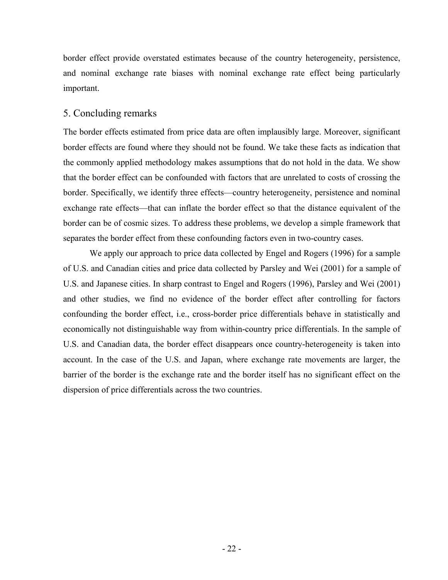border effect provide overstated estimates because of the country heterogeneity, persistence, and nominal exchange rate biases with nominal exchange rate effect being particularly important.

# 5. Concluding remarks

The border effects estimated from price data are often implausibly large. Moreover, significant border effects are found where they should not be found. We take these facts as indication that the commonly applied methodology makes assumptions that do not hold in the data. We show that the border effect can be confounded with factors that are unrelated to costs of crossing the border. Specifically, we identify three effects—country heterogeneity, persistence and nominal exchange rate effects—that can inflate the border effect so that the distance equivalent of the border can be of cosmic sizes. To address these problems, we develop a simple framework that separates the border effect from these confounding factors even in two-country cases.

We apply our approach to price data collected by Engel and Rogers (1996) for a sample of U.S. and Canadian cities and price data collected by Parsley and Wei (2001) for a sample of U.S. and Japanese cities. In sharp contrast to Engel and Rogers (1996), Parsley and Wei (2001) and other studies, we find no evidence of the border effect after controlling for factors confounding the border effect, i.e., cross-border price differentials behave in statistically and economically not distinguishable way from within-country price differentials. In the sample of U.S. and Canadian data, the border effect disappears once country-heterogeneity is taken into account. In the case of the U.S. and Japan, where exchange rate movements are larger, the barrier of the border is the exchange rate and the border itself has no significant effect on the dispersion of price differentials across the two countries.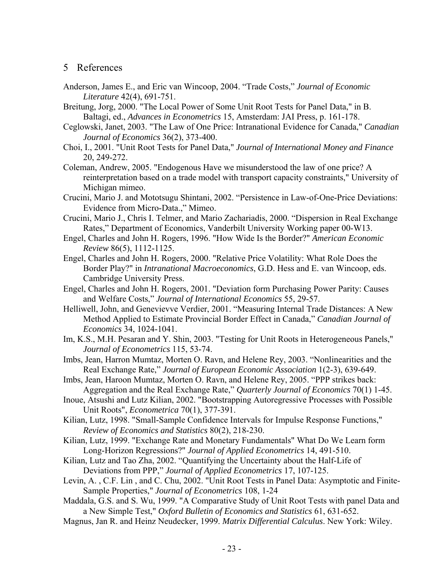# 5 References

- Anderson, James E., and Eric van Wincoop, 2004. "Trade Costs," *Journal of Economic Literature* 42(4), 691-751.
- Breitung, Jorg, 2000. "The Local Power of Some Unit Root Tests for Panel Data," in B. Baltagi, ed., *Advances in Econometrics* 15, Amsterdam: JAI Press, p. 161-178.
- Ceglowski, Janet, 2003. "The Law of One Price: Intranational Evidence for Canada," *Canadian Journal of Economics* 36(2), 373-400.
- Choi, I., 2001. "Unit Root Tests for Panel Data," *Journal of International Money and Finance* 20, 249-272.
- Coleman, Andrew, 2005. "Endogenous Have we misunderstood the law of one price? A reinterpretation based on a trade model with transport capacity constraints," University of Michigan mimeo.
- Crucini, Mario J. and Mototsugu Shintani, 2002. "Persistence in Law-of-One-Price Deviations: Evidence from Micro-Data.," Mimeo.
- Crucini, Mario J., Chris I. Telmer, and Mario Zachariadis, 2000. "Dispersion in Real Exchange Rates," Department of Economics, Vanderbilt University Working paper 00-W13.
- Engel, Charles and John H. Rogers, 1996. "How Wide Is the Border?" *American Economic Review* 86(5), 1112-1125.
- Engel, Charles and John H. Rogers, 2000. "Relative Price Volatility: What Role Does the Border Play?" in *Intranational Macroeconomics*, G.D. Hess and E. van Wincoop, eds. Cambridge University Press.
- Engel, Charles and John H. Rogers, 2001. "Deviation form Purchasing Power Parity: Causes and Welfare Costs," *Journal of International Economics* 55, 29-57.
- Helliwell, John, and Genevievve Verdier, 2001. "Measuring Internal Trade Distances: A New Method Applied to Estimate Provincial Border Effect in Canada," *Canadian Journal of Economics* 34, 1024-1041.
- Im, K.S., M.H. Pesaran and Y. Shin, 2003. "Testing for Unit Roots in Heterogeneous Panels," *Journal of Econometrics* 115, 53-74.
- Imbs, Jean, Harron Mumtaz, Morten O. Ravn, and Helene Rey, 2003. "Nonlinearities and the Real Exchange Rate," *Journal of European Economic Association* 1(2-3), 639-649.
- Imbs, Jean, Haroon Mumtaz, Morten O. Ravn, and Helene Rey, 2005. "PPP strikes back: Aggregation and the Real Exchange Rate," *Quarterly Journal of Economics* 70(1) 1-45.
- Inoue, Atsushi and Lutz Kilian, 2002. "Bootstrapping Autoregressive Processes with Possible Unit Roots", *Econometrica* 70(1), 377-391.
- Kilian, Lutz, 1998. "Small-Sample Confidence Intervals for Impulse Response Functions," *Review of Economics and Statistics* 80(2), 218-230.
- Kilian, Lutz, 1999. "Exchange Rate and Monetary Fundamentals" What Do We Learn form Long-Horizon Regressions?" *Journal of Applied Econometrics* 14, 491-510.
- Kilian, Lutz and Tao Zha, 2002. "Quantifying the Uncertainty about the Half-Life of Deviations from PPP," *Journal of Applied Econometrics* 17, 107-125.
- Levin, A. , C.F. Lin , and C. Chu, 2002. "Unit Root Tests in Panel Data: Asymptotic and Finite-Sample Properties," *Journal of Econometrics* 108, 1-24
- Maddala, G.S. and S. Wu, 1999. "A Comparative Study of Unit Root Tests with panel Data and a New Simple Test," *Oxford Bulletin of Economics and Statistics* 61, 631-652.
- Magnus, Jan R. and Heinz Neudecker, 1999. *Matrix Differential Calculus*. New York: Wiley.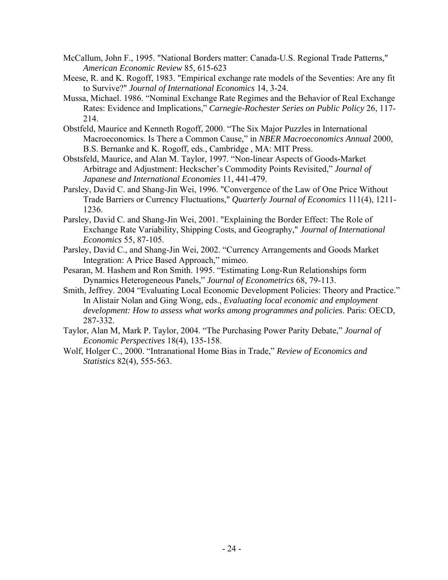McCallum, John F., 1995. "National Borders matter: Canada-U.S. Regional Trade Patterns," *American Economic Review* 85, 615-623

- Meese, R. and K. Rogoff, 1983. "Empirical exchange rate models of the Seventies: Are any fit to Survive?" *Journal of International Economics* 14, 3-24.
- Mussa, Michael. 1986. "Nominal Exchange Rate Regimes and the Behavior of Real Exchange Rates: Evidence and Implications," *Carnegie-Rochester Series on Public Policy* 26, 117- 214.

Obstfeld, Maurice and Kenneth Rogoff, 2000. "The Six Major Puzzles in International Macroeconomics. Is There a Common Cause," in *NBER Macroeconomics Annual* 2000, B.S. Bernanke and K. Rogoff, eds., Cambridge , MA: MIT Press.

Obstsfeld, Maurice, and Alan M. Taylor, 1997. "Non-linear Aspects of Goods-Market Arbitrage and Adjustment: Heckscher's Commodity Points Revisited," *Journal of Japanese and International Economies* 11, 441-479.

Parsley, David C. and Shang-Jin Wei, 1996. "Convergence of the Law of One Price Without Trade Barriers or Currency Fluctuations," *Quarterly Journal of Economics* 111(4), 1211- 1236.

- Parsley, David C. and Shang-Jin Wei, 2001. "Explaining the Border Effect: The Role of Exchange Rate Variability, Shipping Costs, and Geography," *Journal of International Economics* 55, 87-105.
- Parsley, David C., and Shang-Jin Wei, 2002. "Currency Arrangements and Goods Market Integration: A Price Based Approach," mimeo.
- Pesaran, M. Hashem and Ron Smith. 1995. "Estimating Long-Run Relationships form Dynamics Heterogeneous Panels," *Journal of Econometrics* 68, 79-113.
- Smith, Jeffrey. 2004 "Evaluating Local Economic Development Policies: Theory and Practice." In Alistair Nolan and Ging Wong, eds., *Evaluating local economic and employment development: How to assess what works among programmes and policies*. Paris: OECD, 287-332.
- Taylor, Alan M, Mark P. Taylor, 2004. "The Purchasing Power Parity Debate," *Journal of Economic Perspectives* 18(4), 135-158.
- Wolf, Holger C., 2000. "Intranational Home Bias in Trade," *Review of Economics and Statistics* 82(4), 555-563.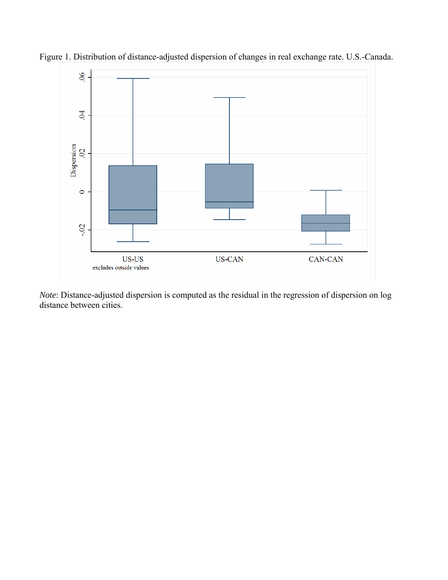

Figure 1. Distribution of distance-adjusted dispersion of changes in real exchange rate. U.S.-Canada.

*Note*: Distance-adjusted dispersion is computed as the residual in the regression of dispersion on log distance between cities.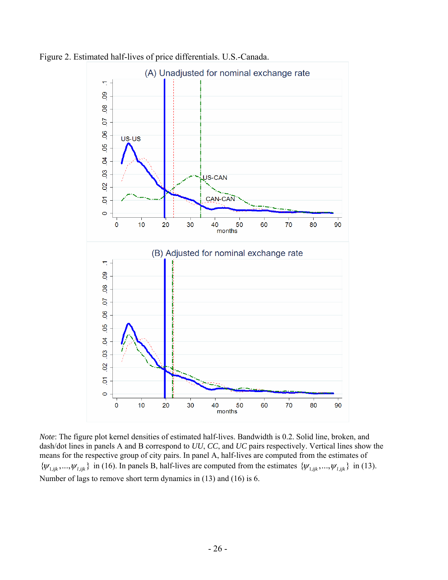

Figure 2. Estimated half-lives of price differentials. U.S.-Canada.

*Note*: The figure plot kernel densities of estimated half-lives. Bandwidth is 0.2. Solid line, broken, and dash/dot lines in panels A and B correspond to *UU*, *CC*, and *UC* pairs respectively. Vertical lines show the means for the respective group of city pairs. In panel A, half-lives are computed from the estimates of  $\{\psi_{1, ijk}, ..., \psi_{l, ijk}\}\$  in (16). In panels B, half-lives are computed from the estimates  $\{\psi_{1, ijk}, ..., \psi_{l, ijk}\}\$  in (13). Number of lags to remove short term dynamics in (13) and (16) is 6.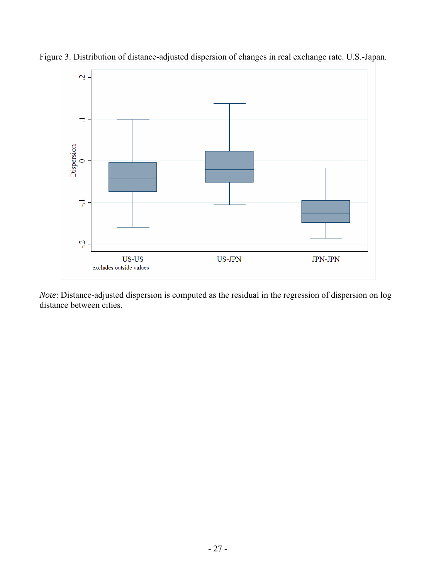

Figure 3. Distribution of distance-adjusted dispersion of changes in real exchange rate. U.S.-Japan.

*Note*: Distance-adjusted dispersion is computed as the residual in the regression of dispersion on log distance between cities.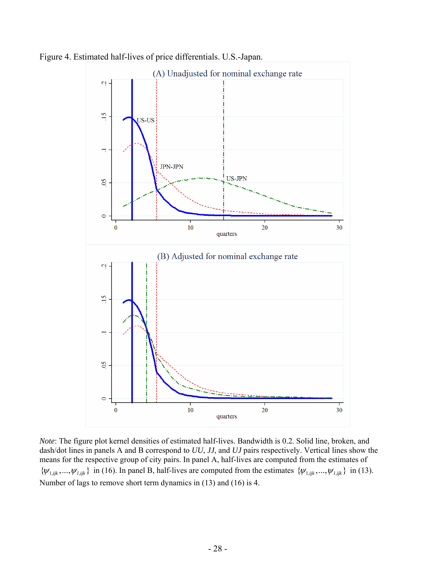

Figure 4. Estimated half-lives of price differentials. U.S.-Japan.

*Note*: The figure plot kernel densities of estimated half-lives. Bandwidth is 0.2. Solid line, broken, and dash/dot lines in panels A and B correspond to *UU*, *JJ*, and *UJ* pairs respectively. Vertical lines show the means for the respective group of city pairs. In panel A, half-lives are computed from the estimates of  $\{\psi_{1, ijk}, ..., \psi_{l, jjk}\}\$  in (16). In panel B, half-lives are computed from the estimates  $\{\psi_{1, ijk}, ..., \psi_{l, jjk}\}\$  in (13). Number of lags to remove short term dynamics in (13) and (16) is 4.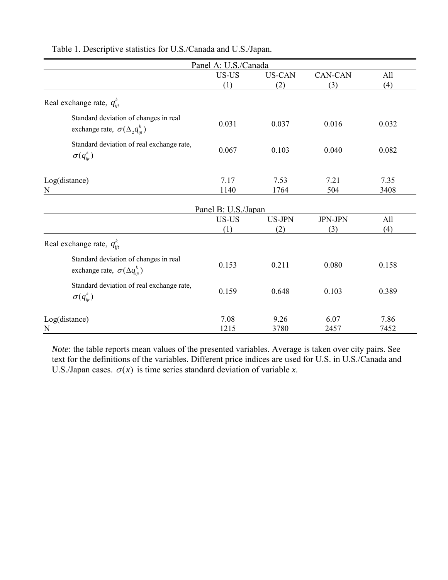|                                                                                             | Panel A: U.S./Canada |               |                |              |
|---------------------------------------------------------------------------------------------|----------------------|---------------|----------------|--------------|
|                                                                                             | US-US                | <b>US-CAN</b> | CAN-CAN        | All          |
|                                                                                             | (1)                  | (2)           | (3)            | (4)          |
| Real exchange rate, $q_{\text{int}}^k$                                                      |                      |               |                |              |
| Standard deviation of changes in real<br>exchange rate, $\sigma(\Delta_2 q_{\text{int}}^k)$ | 0.031                | 0.037         | 0.016          | 0.032        |
| Standard deviation of real exchange rate,<br>$\sigma(q_{ijt}^k)$                            | 0.067                | 0.103         | 0.040          | 0.082        |
| Log(distance)<br>N                                                                          | 7.17<br>1140         | 7.53<br>1764  | 7.21<br>504    | 7.35<br>3408 |
|                                                                                             | Panel B: U.S./Japan  |               |                |              |
|                                                                                             | US-US                | <b>US-JPN</b> | <b>JPN-JPN</b> | All          |
|                                                                                             | (1)                  | (2)           | (3)            | (4)          |
| Real exchange rate, $q_{ii}^k$                                                              |                      |               |                |              |
| Standard deviation of changes in real<br>exchange rate, $\sigma(\Delta q_{\text{int}}^k)$   | 0.153                | 0.211         | 0.080          | 0.158        |
| Standard deviation of real exchange rate,<br>$\sigma(q_{\text{int}}^k)$                     | 0.159                | 0.648         | 0.103          | 0.389        |
| Log(distance)<br>N                                                                          | 7.08<br>1215         | 9.26<br>3780  | 6.07<br>2457   | 7.86<br>7452 |

Table 1. Descriptive statistics for U.S./Canada and U.S./Japan.

*Note*: the table reports mean values of the presented variables. Average is taken over city pairs. See text for the definitions of the variables. Different price indices are used for U.S. in U.S./Canada and U.S./Japan cases.  $\sigma(x)$  is time series standard deviation of variable *x*.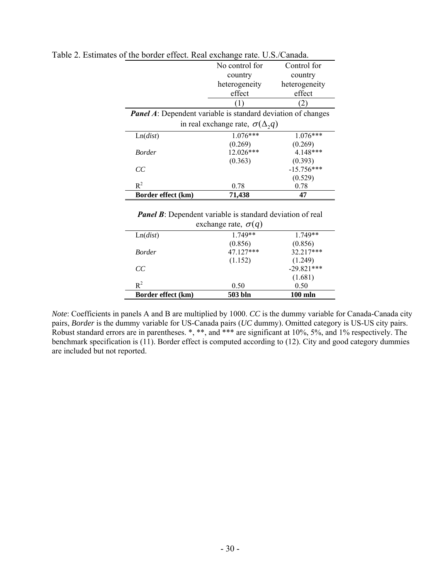| Border effect (km)                                                          | 71,438         | 47            |  |  |
|-----------------------------------------------------------------------------|----------------|---------------|--|--|
| $R^2$                                                                       | 0.78           | 0.78          |  |  |
|                                                                             |                | (0.529)       |  |  |
| CC                                                                          |                | $-15.756***$  |  |  |
|                                                                             | (0.363)        | (0.393)       |  |  |
| <b>Border</b>                                                               | 12.026***      | 4.148***      |  |  |
|                                                                             | (0.269)        | (0.269)       |  |  |
| Ln(dist)                                                                    | $1.076***$     | $1.076***$    |  |  |
| in real exchange rate, $\sigma(\Delta, q)$                                  |                |               |  |  |
| <b>Panel A:</b> Dependent variable is standard deviation of changes         |                |               |  |  |
|                                                                             |                | 2)            |  |  |
|                                                                             | effect         | effect        |  |  |
|                                                                             | heterogeneity  | heterogeneity |  |  |
|                                                                             | country        | country       |  |  |
|                                                                             | No control for | Control for   |  |  |
| $\alpha$ and border effect. Kear exchange rate. $\beta$ . $\beta$ . Canada. |                |               |  |  |

Table 2. Estimates of the border effect. Real exchange rate. U.S./Canada.

*Panel B*: Dependent variable is standard deviation of real

|                    | exchange rate, $\sigma(q)$ |              |
|--------------------|----------------------------|--------------|
| Ln(dist)           | $1.749**$                  | $1.749**$    |
|                    | (0.856)                    | (0.856)      |
| <i>Border</i>      | 47.127***                  | 32.217***    |
|                    | (1.152)                    | (1.249)      |
| CC                 |                            | $-29.821***$ |
|                    |                            | (1.681)      |
| $R^2$              | 0.50                       | 0.50         |
| Border effect (km) | 503 bln                    | 100 mln      |

*Note*: Coefficients in panels A and B are multiplied by 1000. *CC* is the dummy variable for Canada-Canada city pairs, *Border* is the dummy variable for US-Canada pairs (*UC* dummy). Omitted category is US-US city pairs. Robust standard errors are in parentheses. \*, \*\*, and \*\*\* are significant at 10%, 5%, and 1% respectively. The benchmark specification is (11). Border effect is computed according to (12). City and good category dummies are included but not reported.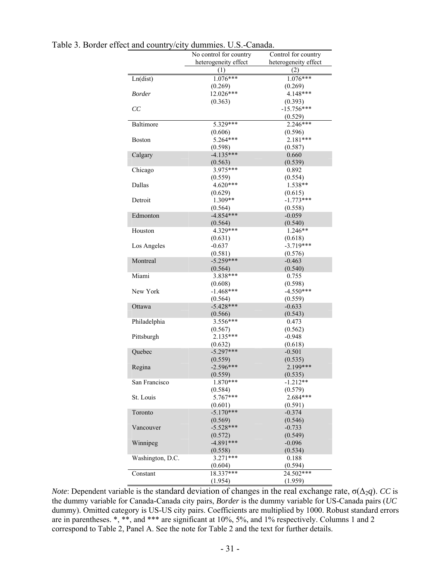|                  | No control for country | Control for country  |
|------------------|------------------------|----------------------|
|                  | heterogeneity effect   | heterogeneity effect |
|                  | (1)                    | (2)                  |
|                  | $1.076***$             | $1.076***$           |
| Ln(dist)         |                        |                      |
|                  | (0.269)                | (0.269)              |
| <b>Border</b>    | 12.026***              | 4.148***             |
|                  | (0.363)                | (0.393)              |
| CC               |                        | $-15.756***$         |
|                  |                        | (0.529)              |
| Baltimore        | $5.329***$             | $2.246***$           |
|                  | (0.606)                | (0.596)              |
| <b>Boston</b>    | 5.264***               | $2.181***$           |
|                  | (0.598)                | (0.587)              |
| Calgary          | $-4.135***$            | 0.660                |
|                  | (0.563)                | (0.539)              |
| Chicago          | 3.975***               | 0.892                |
|                  |                        |                      |
|                  | (0.559)<br>4.620***    | (0.554)              |
| Dallas           |                        | 1.538**              |
|                  | (0.629)                | (0.615)              |
| Detroit          | 1.309**                | $-1.773***$          |
|                  | (0.564)                | (0.558)              |
| Edmonton         | $-4.854***$            | $-0.059$             |
|                  | (0.564)                | (0.540)              |
| Houston          | 4.329***               | 1.246**              |
|                  | (0.631)                | (0.618)              |
| Los Angeles      | $-0.637$               | $-3.719***$          |
|                  | (0.581)                | (0.576)              |
| Montreal         | $-5.259***$            | $-0.463$             |
|                  | (0.564)                | (0.540)              |
| Miami            | 3.838***               | 0.755                |
|                  | (0.608)                | (0.598)              |
| New York         | $-1.468***$            | $-4.550***$          |
|                  | (0.564)                | (0.559)              |
| Ottawa           | $-5.428***$            |                      |
|                  |                        | $-0.633$             |
|                  | (0.566)<br>$3.556***$  | (0.543)              |
| Philadelphia     |                        | 0.473                |
|                  | (0.567)                | (0.562)              |
| Pittsburgh       | 2.135***               | $-0.948$             |
|                  | (0.632)                | (0.618)              |
| Quebec           | $-5.297***$            | $-0.501$             |
|                  | (0.559)                | (0.535)              |
| Regina           | $-2.596***$            | 2.199***             |
|                  | (0.559)                | (0.535)              |
| San Francisco    | 1.870***               | $-1.212**$           |
|                  | (0.584)                | (0.579)              |
| St. Louis        | $5.767***$             | 2.684***             |
|                  | (0.601)                | (0.591)              |
| Toronto          | $-5.170***$            | $-0.374$             |
|                  | (0.569)                | (0.546)              |
| Vancouver        | $-5.528***$            | $-0.733$             |
|                  |                        |                      |
|                  | (0.572)                | (0.549)              |
| Winnipeg         | $-4.891***$            | $-0.096$             |
|                  | (0.558)                | (0.534)              |
| Washington, D.C. | $3.271***$             | 0.188                |
|                  | (0.604)                | (0.594)              |
| Constant         | 18.337***              | 24.502***            |
|                  | (1.954)                | (1.959)              |

Table 3. Border effect and country/city dummies. U.S.-Canada.

*Note*: Dependent variable is the standard deviation of changes in the real exchange rate,  $\sigma(\Delta_2 q)$ . *CC* is the dummy variable for Canada-Canada city pairs, *Border* is the dummy variable for US-Canada pairs (*UC* dummy). Omitted category is US-US city pairs. Coefficients are multiplied by 1000. Robust standard errors are in parentheses. \*, \*\*, and \*\*\* are significant at 10%, 5%, and 1% respectively. Columns 1 and 2 correspond to Table 2, Panel A. See the note for Table 2 and the text for further details.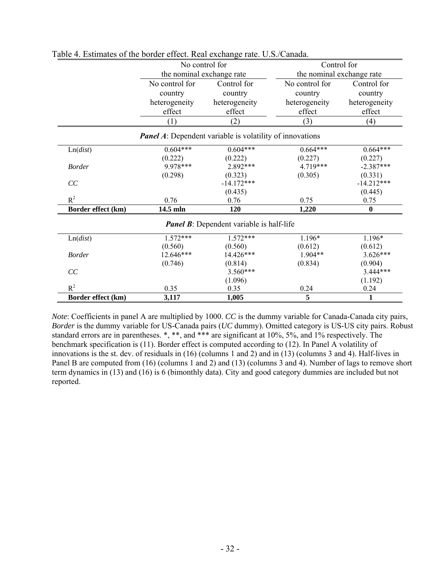|                    |                | No control for                                                  |                | Control for               |
|--------------------|----------------|-----------------------------------------------------------------|----------------|---------------------------|
|                    |                | the nominal exchange rate                                       |                | the nominal exchange rate |
|                    | No control for | Control for                                                     | No control for | Control for               |
|                    | country        | country                                                         | country        | country                   |
|                    | heterogeneity  | heterogeneity                                                   | heterogeneity  | heterogeneity             |
|                    | effect         | effect                                                          | effect         | effect                    |
|                    | (1)            | (2)                                                             | (3)            | (4)                       |
|                    |                | <b>Panel A:</b> Dependent variable is volatility of innovations |                |                           |
| Ln(dist)           | $0.604***$     | $0.604***$                                                      | $0.664***$     | $0.664***$                |
|                    | (0.222)        | (0.222)                                                         | (0.227)        | (0.227)                   |
| <b>Border</b>      | 9.978***       | 2.892***                                                        | 4.719***       | $-2.387***$               |
|                    | (0.298)        | (0.323)                                                         | (0.305)        | (0.331)                   |
| CC                 |                | $-14.172***$                                                    |                | $-14.212***$              |
|                    |                | (0.435)                                                         |                | (0.445)                   |
| $R^2$              | 0.76           | 0.76                                                            | 0.75           | 0.75                      |
| Border effect (km) | 14.5 mln       | 120                                                             | 1,220          | $\mathbf{0}$              |
|                    |                | <b>Panel B</b> : Dependent variable is half-life                |                |                           |
| Ln(dist)           | $1.572***$     | $1.572***$                                                      | 1.196*         | 1.196*                    |
|                    | (0.560)        | (0.560)                                                         | (0.612)        | (0.612)                   |
| <b>Border</b>      | 12.646***      | 14.426***                                                       | $1.904**$      | $3.626***$                |
|                    | (0.746)        | (0.814)                                                         | (0.834)        | (0.904)                   |
| CC                 |                | 3.560***                                                        |                | 3.444***                  |
|                    |                | (1.096)                                                         |                | (1.192)                   |
| $R^2$              | 0.35           | 0.35                                                            | 0.24           | 0.24                      |
| Border effect (km) | 3,117          | 1,005                                                           | $\overline{5}$ | 1                         |

## Table 4. Estimates of the border effect. Real exchange rate. U.S./Canada.

*Note*: Coefficients in panel A are multiplied by 1000. *CC* is the dummy variable for Canada-Canada city pairs, *Border* is the dummy variable for US-Canada pairs (*UC* dummy). Omitted category is US-US city pairs. Robust standard errors are in parentheses. \*, \*\*, and \*\*\* are significant at 10%, 5%, and 1% respectively. The benchmark specification is (11). Border effect is computed according to (12). In Panel A volatility of innovations is the st. dev. of residuals in (16) (columns 1 and 2) and in (13) (columns 3 and 4). Half-lives in Panel B are computed from (16) (columns 1 and 2) and (13) (columns 3 and 4). Number of lags to remove short term dynamics in (13) and (16) is 6 (bimonthly data). City and good category dummies are included but not reported.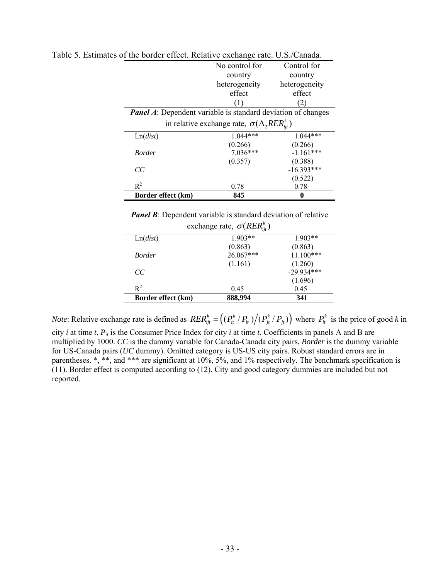| Border effect (km)                                                  | 845            | 0             |  |
|---------------------------------------------------------------------|----------------|---------------|--|
| $R^2$                                                               | 0.78           | 0.78          |  |
|                                                                     |                | (0.522)       |  |
| CC                                                                  |                | $-16.393***$  |  |
|                                                                     | (0.357)        | (0.388)       |  |
| <b>Border</b>                                                       | 7.036***       | $-1.161***$   |  |
|                                                                     | (0.266)        | (0.266)       |  |
| Ln(dist)                                                            | $1.044***$     | $1.044***$    |  |
| in relative exchange rate, $\sigma(\Delta, RER_{in}^k)$             |                |               |  |
| <b>Panel A:</b> Dependent variable is standard deviation of changes |                |               |  |
|                                                                     | (1)            | 2)            |  |
|                                                                     | effect         | effect        |  |
|                                                                     | heterogeneity  | heterogeneity |  |
|                                                                     | country        | country       |  |
|                                                                     | No control for | Control for   |  |
| of the border effect. Relative exchange rate. U.S./Canada.          |                |               |  |

Table 5. Estimates of the border effect. Relative exchange rate. U.S./Canada.

| <b>Panel B</b> : Dependent variable is standard deviation of relative                                                                                                                                                                                                                                                              |  |
|------------------------------------------------------------------------------------------------------------------------------------------------------------------------------------------------------------------------------------------------------------------------------------------------------------------------------------|--|
| $\mathbf{1}$ $\mathbf{1}$ $\mathbf{1}$ $\mathbf{1}$ $\mathbf{1}$ $\mathbf{1}$ $\mathbf{1}$ $\mathbf{1}$ $\mathbf{1}$ $\mathbf{1}$ $\mathbf{1}$ $\mathbf{1}$ $\mathbf{1}$ $\mathbf{1}$ $\mathbf{1}$ $\mathbf{1}$ $\mathbf{1}$ $\mathbf{1}$ $\mathbf{1}$ $\mathbf{1}$ $\mathbf{1}$ $\mathbf{1}$ $\mathbf{1}$ $\mathbf{1}$ $\mathbf{$ |  |

|                    | exchange rate, $\sigma$ ( <i>KER</i> <sub>iit</sub> ) |              |
|--------------------|-------------------------------------------------------|--------------|
| Ln(dist)           | $1.903**$                                             | $1.903**$    |
|                    | (0.863)                                               | (0.863)      |
| <b>Border</b>      | 26.067***                                             | $11.100***$  |
|                    | (1.161)                                               | (1.260)      |
| CC                 |                                                       | $-29.934***$ |
|                    |                                                       | (1.696)      |
| $R^2$              | 0.45                                                  | 0.45         |
| Border effect (km) | 888,994                                               | 341          |

*Note*: Relative exchange rate is defined as  $RER_{ijt}^k = ((P_{it}^k/P_{it})/(P_{jt}^k/P_{jt}))$  where  $P_{it}^k$  is the price of good *k* in

city *i* at time *t*,  $P_{it}$  is the Consumer Price Index for city *i* at time *t*. Coefficients in panels A and B are multiplied by 1000. *CC* is the dummy variable for Canada-Canada city pairs, *Border* is the dummy variable for US-Canada pairs (*UC* dummy). Omitted category is US-US city pairs. Robust standard errors are in parentheses. \*, \*\*, and \*\*\* are significant at 10%, 5%, and 1% respectively. The benchmark specification is (11). Border effect is computed according to (12). City and good category dummies are included but not reported.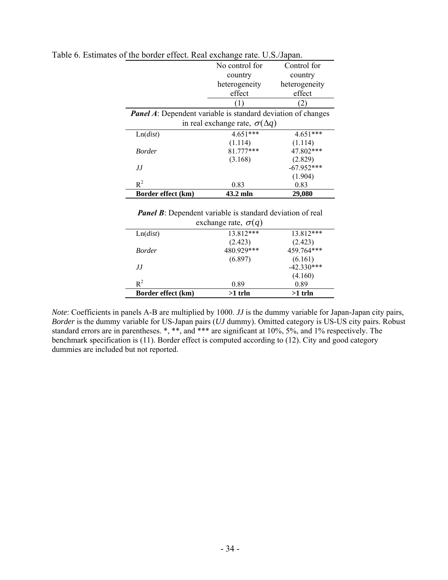| 81.777***<br>47.802***<br>(2.829)<br>(3.168)<br>$-67.952***$<br>(1.904)<br>0.83 |
|---------------------------------------------------------------------------------|
|                                                                                 |
|                                                                                 |
|                                                                                 |
|                                                                                 |
|                                                                                 |
| (1.114)<br>(1.114)                                                              |
| $4.651***$<br>$4.651***$                                                        |
| in real exchange rate, $\sigma(\Delta q)$                                       |
| <b>Panel A:</b> Dependent variable is standard deviation of changes             |
| 2)                                                                              |
| effect<br>effect                                                                |
| heterogeneity<br>heterogeneity                                                  |
| country<br>country                                                              |
| No control for<br>Control for                                                   |
| $n$ and border criteri. Kear exemange rate. $\sigma$ , $n$ apan.                |

Table 6. Estimates of the border effect. Real exchange rate. U.S./Japan.

*Panel B*: Dependent variable is standard deviation of real

|                    | exchange rate, $\sigma(q)$ |              |
|--------------------|----------------------------|--------------|
| Ln(dist)           | 13.812***                  | 13.812***    |
|                    | (2.423)                    | (2.423)      |
| <b>Border</b>      | 480.929***                 | 459.764***   |
|                    | (6.897)                    | (6.161)      |
| .I.I               |                            | $-42.330***$ |
|                    |                            | (4.160)      |
| $R^2$              | 0.89                       | 0.89         |
| Border effect (km) | $>1$ trln                  | $>1$ trln    |

*Note*: Coefficients in panels A-B are multiplied by 1000. *JJ* is the dummy variable for Japan-Japan city pairs, *Border* is the dummy variable for US-Japan pairs (*UJ* dummy). Omitted category is US-US city pairs. Robust standard errors are in parentheses. \*, \*\*, and \*\*\* are significant at 10%, 5%, and 1% respectively. The benchmark specification is (11). Border effect is computed according to (12). City and good category dummies are included but not reported.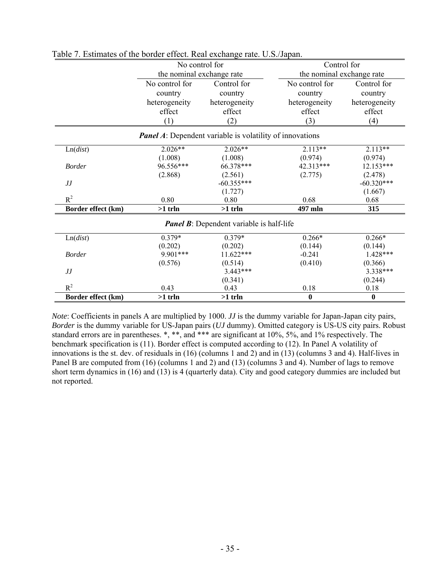|                    |                                             |                                                                 |                | Control for               |
|--------------------|---------------------------------------------|-----------------------------------------------------------------|----------------|---------------------------|
|                    | No control for<br>the nominal exchange rate |                                                                 |                | the nominal exchange rate |
|                    |                                             |                                                                 |                |                           |
|                    | No control for                              | Control for                                                     | No control for | Control for               |
|                    | country                                     | country                                                         | country        | country                   |
|                    | heterogeneity                               | heterogeneity                                                   | heterogeneity  | heterogeneity             |
|                    | effect                                      | effect                                                          | effect         | effect                    |
|                    | (1)                                         | (2)                                                             | (3)            | (4)                       |
|                    |                                             | <b>Panel A:</b> Dependent variable is volatility of innovations |                |                           |
| Ln(dist)           | $2.026**$                                   | $2.026**$                                                       | $2.113**$      | 2.113**                   |
|                    | (1.008)                                     | (1.008)                                                         | (0.974)        | (0.974)                   |
| <b>Border</b>      | 96.556***                                   | 66.378***                                                       | 42.313***      | 12.153***                 |
|                    | (2.868)                                     | (2.561)                                                         | (2.775)        | (2.478)                   |
| JJ                 |                                             | $-60.355***$                                                    |                | $-60.320***$              |
|                    |                                             | (1.727)                                                         |                | (1.667)                   |
| $R^2$              | 0.80                                        | 0.80                                                            | 0.68           | 0.68                      |
| Border effect (km) | $>1$ trln                                   | $>1$ trln                                                       | 497 mln        | 315                       |
|                    |                                             | <b>Panel B</b> : Dependent variable is half-life                |                |                           |
| Ln(dist)           | 0.379*                                      | 0.379*                                                          | $0.266*$       | $0.266*$                  |
|                    | (0.202)                                     | (0.202)                                                         | (0.144)        | (0.144)                   |
| <b>Border</b>      | 9.901***                                    | 11.622***                                                       | $-0.241$       | $1.428***$                |
|                    | (0.576)                                     | (0.514)                                                         | (0.410)        | (0.366)                   |
| JJ                 |                                             | $3.443***$                                                      |                | 3.338***                  |
|                    |                                             | (0.341)                                                         |                | (0.244)                   |
| $R^2$              | 0.43                                        | 0.43                                                            | 0.18           | 0.18                      |
| Border effect (km) | $>1$ trln                                   | $>1$ trln                                                       | $\bf{0}$       | $\bf{0}$                  |

## Table 7. Estimates of the border effect. Real exchange rate. U.S./Japan.

*Note*: Coefficients in panels A are multiplied by 1000. *JJ* is the dummy variable for Japan-Japan city pairs, *Border* is the dummy variable for US-Japan pairs (*UJ* dummy). Omitted category is US-US city pairs. Robust standard errors are in parentheses. \*, \*\*, and \*\*\* are significant at 10%, 5%, and 1% respectively. The benchmark specification is (11). Border effect is computed according to (12). In Panel A volatility of innovations is the st. dev. of residuals in (16) (columns 1 and 2) and in (13) (columns 3 and 4). Half-lives in Panel B are computed from (16) (columns 1 and 2) and (13) (columns 3 and 4). Number of lags to remove short term dynamics in (16) and (13) is 4 (quarterly data). City and good category dummies are included but not reported.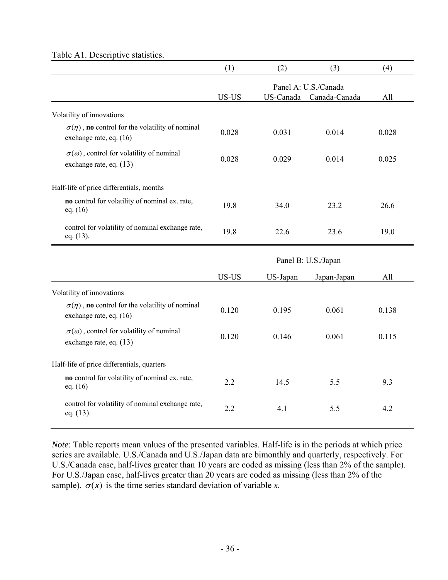| Table A1. Descriptive statistics. |  |
|-----------------------------------|--|
|-----------------------------------|--|

|                                                                                      | (1)                  | (2)      | (3)                     | (4)   |
|--------------------------------------------------------------------------------------|----------------------|----------|-------------------------|-------|
|                                                                                      | Panel A: U.S./Canada |          |                         |       |
|                                                                                      | US-US                |          | US-Canada Canada-Canada | All   |
| Volatility of innovations                                                            |                      |          |                         |       |
| $\sigma(\eta)$ , no control for the volatility of nominal<br>exchange rate, eq. (16) | 0.028                | 0.031    | 0.014                   | 0.028 |
| $\sigma(\omega)$ , control for volatility of nominal<br>exchange rate, eq. (13)      | 0.028                | 0.029    | 0.014                   | 0.025 |
| Half-life of price differentials, months                                             |                      |          |                         |       |
| no control for volatility of nominal ex. rate,<br>eq. (16)                           | 19.8                 | 34.0     | 23.2                    | 26.6  |
| control for volatility of nominal exchange rate,<br>eq. $(13)$ .                     | 19.8                 | 22.6     | 23.6                    | 19.0  |
|                                                                                      | Panel B: U.S./Japan  |          |                         |       |
|                                                                                      | US-US                | US-Japan | Japan-Japan             | All   |
| Volatility of innovations                                                            |                      |          |                         |       |
| $\sigma(\eta)$ , no control for the volatility of nominal<br>exchange rate, eq. (16) | 0.120                | 0.195    | 0.061                   | 0.138 |
| $\sigma(\omega)$ , control for volatility of nominal<br>exchange rate, eq. (13)      | 0.120                | 0.146    | 0.061                   | 0.115 |
| Half-life of price differentials, quarters                                           |                      |          |                         |       |
| no control for volatility of nominal ex. rate,<br>eq. (16)                           | 2.2                  | 14.5     | 5.5                     | 9.3   |
| control for volatility of nominal exchange rate,<br>eq. $(13)$ .                     | 2.2                  | 4.1      | 5.5                     | 4.2   |

*Note*: Table reports mean values of the presented variables. Half-life is in the periods at which price series are available. U.S./Canada and U.S./Japan data are bimonthly and quarterly, respectively. For U.S./Canada case, half-lives greater than 10 years are coded as missing (less than 2% of the sample). For U.S./Japan case, half-lives greater than 20 years are coded as missing (less than 2% of the sample).  $\sigma(x)$  is the time series standard deviation of variable *x*.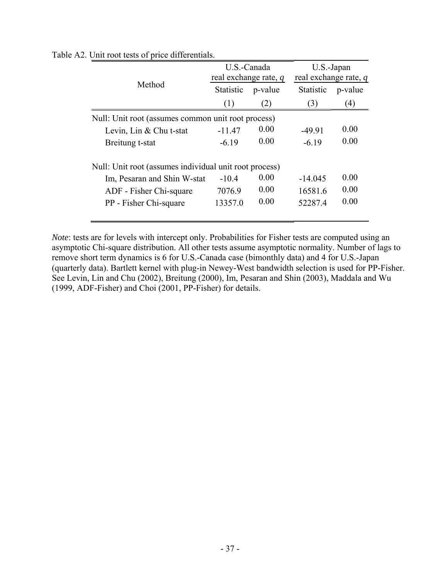| Method                                                 | U.S.-Canada<br>real exchange rate, q |         | $U.S.-Japan$<br>real exchange rate, q |                  |  |  |  |  |
|--------------------------------------------------------|--------------------------------------|---------|---------------------------------------|------------------|--|--|--|--|
|                                                        | <b>Statistic</b>                     | p-value | <b>Statistic</b>                      | p-value          |  |  |  |  |
|                                                        | (1)                                  | (2)     | (3)                                   | $\left(4\right)$ |  |  |  |  |
| Null: Unit root (assumes common unit root process)     |                                      |         |                                       |                  |  |  |  |  |
| Levin, Lin $&$ Chu t-stat                              | $-11.47$                             | 0.00    | $-49.91$                              | 0.00             |  |  |  |  |
| Breitung t-stat                                        | $-6.19$                              | 0.00    | $-6.19$                               | 0.00             |  |  |  |  |
| Null: Unit root (assumes individual unit root process) |                                      |         |                                       |                  |  |  |  |  |
| Im, Pesaran and Shin W-stat                            | $-104$                               | 0.00    | $-14045$                              | 0.00             |  |  |  |  |
| ADF - Fisher Chi-square                                | 7076.9                               | 0.00    | 16581.6                               | 0.00             |  |  |  |  |
| PP - Fisher Chi-square                                 | 13357.0                              | 0.00    | 52287.4                               | 0.00             |  |  |  |  |
|                                                        |                                      |         |                                       |                  |  |  |  |  |

Table A2. Unit root tests of price differentials.

*Note*: tests are for levels with intercept only. Probabilities for Fisher tests are computed using an asymptotic Chi-square distribution. All other tests assume asymptotic normality. Number of lags to remove short term dynamics is 6 for U.S.-Canada case (bimonthly data) and 4 for U.S.-Japan (quarterly data). Bartlett kernel with plug-in Newey-West bandwidth selection is used for PP-Fisher. See Levin, Lin and Chu (2002), Breitung (2000), Im, Pesaran and Shin (2003), Maddala and Wu (1999, ADF-Fisher) and Choi (2001, PP-Fisher) for details.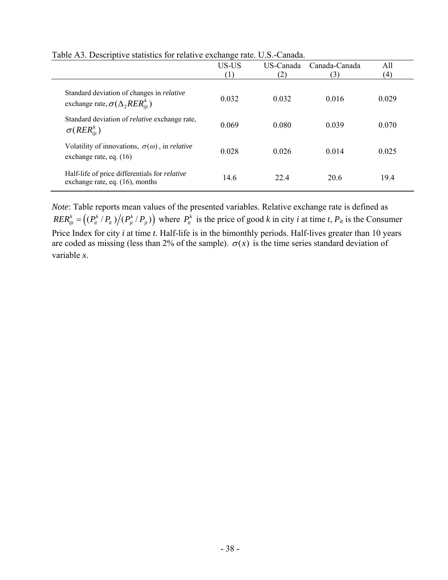|                                                                                                                | US-US<br>(1) | US-Canada<br>(2) | Canada-Canada<br>(3) | All<br>(4) |
|----------------------------------------------------------------------------------------------------------------|--------------|------------------|----------------------|------------|
| Standard deviation of changes in <i>relative</i><br>exchange rate, $\sigma(\Delta_{2} R E R_{\text{int}}^{k})$ | 0.032        | 0.032            | 0.016                | 0.029      |
| Standard deviation of <i>relative</i> exchange rate,<br>$\sigma(RER_{\text{ijt}}^k)$                           | 0.069        | 0.080            | 0.039                | 0.070      |
| Volatility of innovations, $\sigma(\omega)$ , in <i>relative</i><br>exchange rate, eq. (16)                    | 0.028        | 0.026            | 0.014                | 0.025      |
| Half-life of price differentials for <i>relative</i><br>exchange rate, eq. $(16)$ , months                     | 14.6         | 22.4             | 20.6                 | 19.4       |

Table A3. Descriptive statistics for relative exchange rate. U.S.-Canada.

*Note*: Table reports mean values of the presented variables. Relative exchange rate is defined as  $RER_{ijt}^k = ((P_{it}^k/P_{it})/(P_{jt}^k/P_{jt}))$  where  $P_{it}^k$  is the price of good *k* in city *i* at time *t*,  $P_{it}$  is the Consumer Price Index for city *i* at time *t*. Half-life is in the bimonthly periods. Half-lives greater than 10 years are coded as missing (less than 2% of the sample).  $\sigma(x)$  is the time series standard deviation of variable *x*.